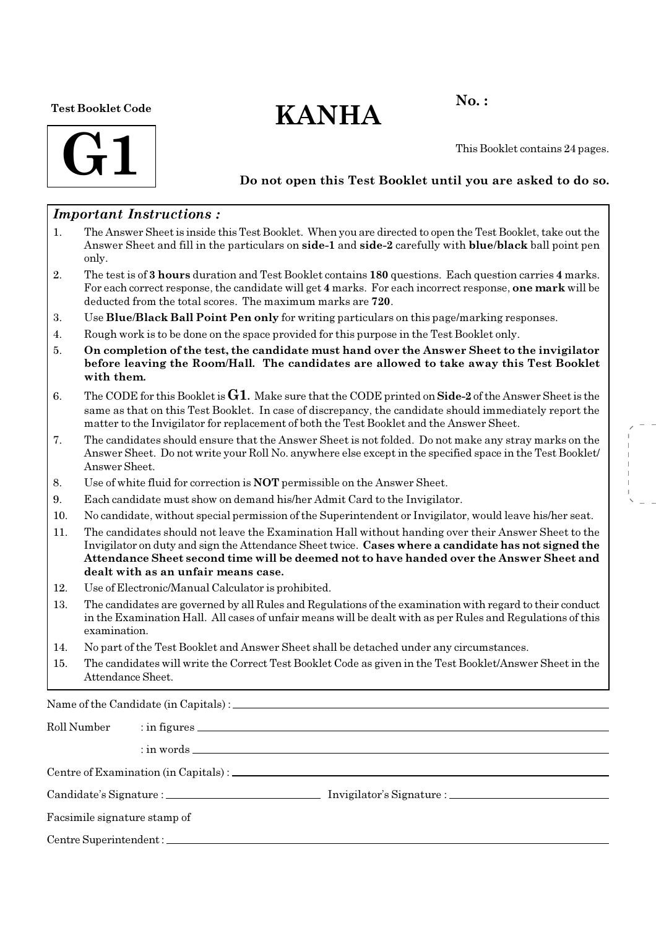#### Test Booklet Code

# $KANHA$ <sup>No.:</sup>



This Booklet contains 24 pages.

### Do not open this Test Booklet until you are asked to do so.

#### Important Instructions :

- 1. The Answer Sheet is inside this Test Booklet. When you are directed to open the Test Booklet, take out the Answer Sheet and fill in the particulars on side-1 and side-2 carefully with blue/black ball point pen only.
- 2. The test is of 3 hours duration and Test Booklet contains 180 questions. Each question carries 4 marks. For each correct response, the candidate will get 4 marks. For each incorrect response, one mark will be deducted from the total scores. The maximum marks are 720.
- 3. Use Blue/Black Ball Point Pen only for writing particulars on this page/marking responses.
- 4. Rough work is to be done on the space provided for this purpose in the Test Booklet only.
- 5. On completion of the test, the candidate must hand over the Answer Sheet to the invigilator before leaving the Room/Hall. The candidates are allowed to take away this Test Booklet with them.
- 6. The CODE for this Booklet is  $G1$ . Make sure that the CODE printed on Side-2 of the Answer Sheet is the same as that on this Test Booklet. In case of discrepancy, the candidate should immediately report the matter to the Invigilator for replacement of both the Test Booklet and the Answer Sheet.
- 7. The candidates should ensure that the Answer Sheet is not folded. Do not make any stray marks on the Answer Sheet. Do not write your Roll No. anywhere else except in the specified space in the Test Booklet/ Answer Sheet.
- 8. Use of white fluid for correction is NOT permissible on the Answer Sheet.
- 9. Each candidate must show on demand his/her Admit Card to the Invigilator.
- 10. No candidate, without special permission of the Superintendent or Invigilator, would leave his/her seat.
- 11. The candidates should not leave the Examination Hall without handing over their Answer Sheet to the Invigilator on duty and sign the Attendance Sheet twice. Cases where a candidate has not signed the Attendance Sheet second time will be deemed not to have handed over the Answer Sheet and dealt with as an unfair means case.
- 12. Use of Electronic/Manual Calculator is prohibited.
- 13. The candidates are governed by all Rules and Regulations of the examination with regard to their conduct in the Examination Hall. All cases of unfair means will be dealt with as per Rules and Regulations of this examination.
- 14. No part of the Test Booklet and Answer Sheet shall be detached under any circumstances.
- 15. The candidates will write the Correct Test Booklet Code as given in the Test Booklet/Answer Sheet in the Attendance Sheet.

Name of the Candidate (in Capitals) :

| Roll Number                  |  |  |  |  |  |  |  |
|------------------------------|--|--|--|--|--|--|--|
|                              |  |  |  |  |  |  |  |
|                              |  |  |  |  |  |  |  |
|                              |  |  |  |  |  |  |  |
| Facsimile signature stamp of |  |  |  |  |  |  |  |
|                              |  |  |  |  |  |  |  |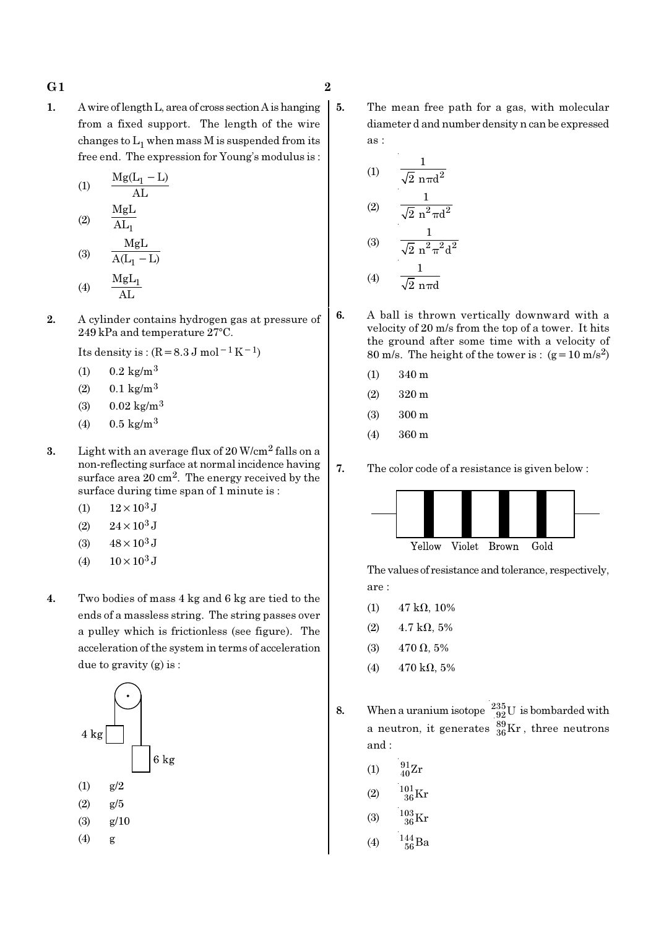#### G 1  $\hspace{1.6cm}$  2

1. A wire of length L, area of cross section A is hanging from a fixed support. The length of the wire changes to  $\mathrm{L}_1$  when mass M is suspended from its free end. The expression for Young's modulus is :

(1) 
$$
\frac{Mg(L_1 - L)}{AL}
$$
  
(2) 
$$
\frac{MgL}{AL_1}
$$
  
 
$$
MgL
$$

$$
(3) \qquad \frac{mgL}{A(L_1 - L)}
$$

$$
(4) \qquad \frac{\text{MgL}_1}{\text{AL}}
$$

2. A cylinder contains hydrogen gas at pressure of  $249$  kPa and temperature  $27^{\circ}$ C.

Its density is :  $(R=8.3 J \text{ mol}^{-1} \text{K}^{-1})$ 

- (1)  $0.2 \text{ kg/m}^3$
- $(2)$  0.1 kg/m<sup>3</sup>
- (3)  $0.02 \text{ kg/m}^3$
- (4)  $0.5 \text{ kg/m}^3$
- 3. Light with an average flux of  $20 \text{ W/cm}^2$  falls on a non-reflecting surface at normal incidence having surface area 20 cm2. The energy received by the surface during time span of 1 minute is :
	- (1)  $12 \times 10^3$  J
	- (2)  $24 \times 10^3$  J
	- (3)  $48 \times 10^3$  J
	- (4)  $10 \times 10^3$  J
- 4. Two bodies of mass 4 kg and 6 kg are tied to the ends of a massless string. The string passes over a pulley which is frictionless (see figure). The acceleration of the system in terms of acceleration due to gravity (g) is :



- - 5. The mean free path for a gas, with molecular diameter d and number density n can be expressed as :

(1) 
$$
\frac{1}{\sqrt{2} \text{ n} \pi d^2}
$$
  
\n(2) 
$$
\frac{1}{\sqrt{2} \text{ n}^2 \pi d^2}
$$
  
\n(3) 
$$
\frac{1}{\sqrt{2} \text{ n}^2 \pi^2 d^2}
$$
  
\n(4) 
$$
\frac{1}{\sqrt{2} \text{ n} \pi d}
$$

- 6. A ball is thrown vertically downward with a velocity of 20 m/s from the top of a tower. It hits the ground after some time with a velocity of 80 m/s. The height of the tower is :  $(g=10 \text{ m/s}^2)$ 
	- (1) 340 m
	- (2) 320 m
	- (3) 300 m
	- (4) 360 m

7. The color code of a resistance is given below :



The values of resistance and tolerance, respectively, are :

- (1)  $47 \text{ k}\Omega$ , 10%
- (2)  $4.7 \text{ k}\Omega$ , 5%
- (3) 470  $\Omega$ , 5%
- (4)  $470 \text{ k}\Omega, 5\%$
- 8. When a uranium isotope  $\frac{235}{92}U$  is bombarded with a neutron, it generates  $^{89}_{36}\text{Kr}$  , three neutrons and :
	- (1)  $\frac{91}{40}Zr$
	- (2)  $\frac{101}{36} \text{Kr}$
	- (3)  $\frac{103}{36}$ Kr
	- (4)  $\frac{144}{56}Ba$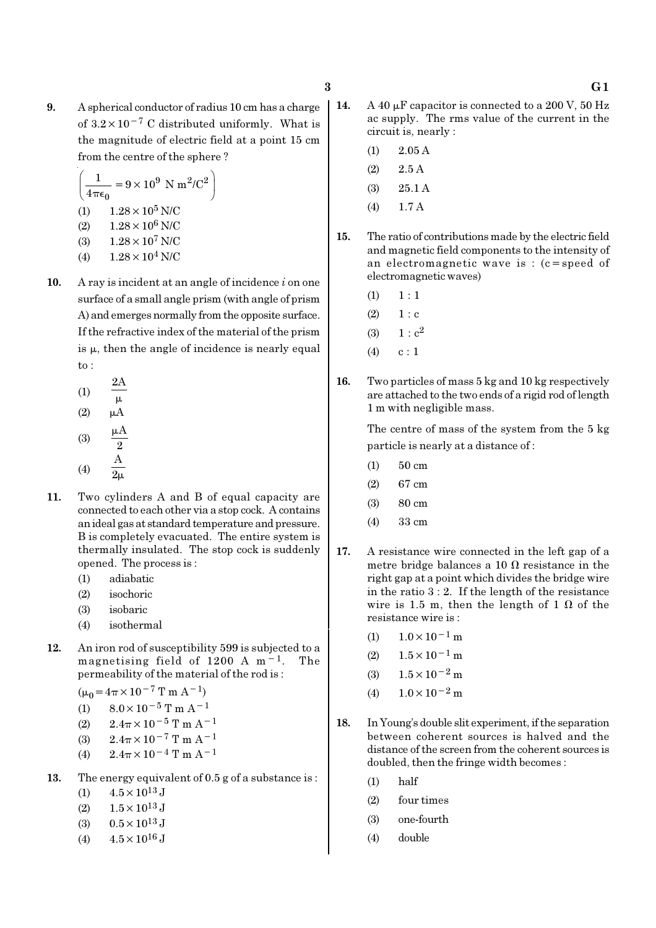9. A spherical conductor of radius 10 cm has a charge of  $3.2 \times 10^{-7}$  C distributed uniformly. What is the magnitude of electric field at a point 15 cm from the centre of the sphere ?

$$
\left(\frac{1}{4\pi\epsilon_0} = 9 \times 10^9 \text{ N m}^2/\text{C}^2\right)
$$
  
(1) 1.28 × 10<sup>5</sup> N/C  
(2) 1.28 × 10<sup>6</sup> N/C  
(3) 1.28 × 10<sup>7</sup> N/C  
(4) 1.28 × 10<sup>4</sup> N/C

- 10. A ray is incident at an angle of incidence  $i$  on one surface of a small angle prism (with angle of prism A) and emerges normally from the opposite surface. If the refractive index of the material of the prism is  $\mu$ , then the angle of incidence is nearly equal to :
	- (1) 2A  $\mu$  $(2)$   $\mu$ A (3)  $\frac{\mu A}{2}$ µ (4) A  $\overline{2\mu}$
- 11. Two cylinders A and B of equal capacity are connected to each other via a stop cock. A contains an ideal gas at standard temperature and pressure. B is completely evacuated. The entire system is thermally insulated. The stop cock is suddenly opened. The process is :
	- (1) adiabatic
	- (2) isochoric
	- (3) isobaric
	- (4) isothermal
- 12. An iron rod of susceptibility 599 is subjected to a magnetising field of 1200 A m−1. The permeability of the material of the rod is :

 $(μ<sub>0</sub> = 4π × 10<sup>-7</sup> T m A<sup>-1</sup>)$ 

- (1)  $8.0 \times 10^{-5}$  T m A<sup>-1</sup>
- (2)  $2.4\pi \times 10^{-5}$  T m A<sup>-1</sup>
- (3)  $2.4\pi \times 10^{-7}$  T m A<sup>-1</sup>
- (4)  $2.4\pi \times 10^{-4}$  T m A<sup>-1</sup>
- 13. The energy equivalent of 0.5 g of a substance is :
	- (1)  $4.5 \times 10^{13}$  J
	- (2)  $1.5 \times 10^{13}$  J
	- (3)  $0.5 \times 10^{13}$  J
	- (4)  $4.5 \times 10^{16}$  J
- 14. A 40  $\mu$ F capacitor is connected to a 200 V, 50 Hz ac supply. The rms value of the current in the circuit is, nearly :
	- $(1)$  2.05 A
	- $(2)$  2.5 A
	- (3) 25.1 A
	- (4) 1.7 A
- 15. The ratio of contributions made by the electric field and magnetic field components to the intensity of an electromagnetic wave is : (c=speed of electromagnetic waves)
	- $(1) 1 : 1$
	- $(2) 1 : c$
	- (3)  $1 : c^2$
	- $(4)$  c : 1
- 16. Two particles of mass 5 kg and 10 kg respectively are attached to the two ends of a rigid rod of length 1 m with negligible mass.

The centre of mass of the system from the 5 kg particle is nearly at a distance of :

- (1) 50 cm
- (2) 67 cm
- (3) 80 cm
- (4) 33 cm
- 17. A resistance wire connected in the left gap of a metre bridge balances a 10  $\Omega$  resistance in the right gap at a point which divides the bridge wire in the ratio  $3:2$ . If the length of the resistance wire is 1.5 m, then the length of 1  $\Omega$  of the resistance wire is :
	- (1)  $1.0 \times 10^{-1}$  m
	- $(2)$  1.5 × 10<sup>-1</sup> m
	- (3)  $1.5 \times 10^{-2}$  m
	- (4)  $1.0 \times 10^{-2}$  m
- 18. In Young's double slit experiment, if the separation between coherent sources is halved and the distance of the screen from the coherent sources is doubled, then the fringe width becomes :
	- (1) half
	- (2) four times
	- (3) one-fourth
	- (4) double

### $3 \hspace{2.5cm} \text{G1}$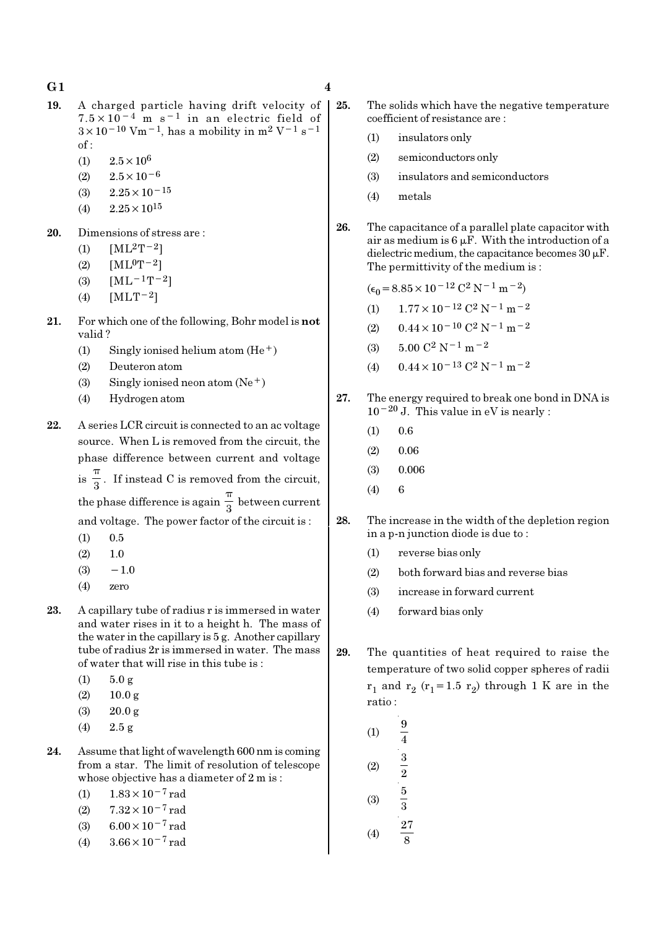- 19. A charged particle having drift velocity of  $7.5 \times 10^{-4}$  m s<sup>-1</sup> in an electric field of  $3\times10^{-10}$  Vm<sup>-1</sup>, has a mobility in m<sup>2</sup> V<sup>-1</sup> s<sup>-1</sup>  $of:$ 
	- (1)  $2.5 \times 10^6$
	- $(2)$  2.5 × 10<sup>-6</sup>
	- $(3)$  2.25×10<sup>-15</sup>
	- $(4)$  2.25  $\times$  10<sup>15</sup>
- 20. Dimensions of stress are :
	- (1)  $[ML^2T^{-2}]$
	- (2)  $[ML^0T^{-2}]$
	- (3)  $[ML^{-1}T^{-2}]$
	- (4)  $[MLT-2]$
- 21. For which one of the following, Bohr model is not valid ?
	- (1) Singly ionised helium atom  $(He<sup>+</sup>)$
	- (2) Deuteron atom
	- (3) Singly ionised neon atom  $(Ne^+)$
	- (4) Hydrogen atom
- 22. A series LCR circuit is connected to an ac voltage source. When L is removed from the circuit, the phase difference between current and voltage  $is \frac{1}{3}$ π . If instead C is removed from the circuit, the phase difference is again  $\frac{1}{3}$ π between current and voltage. The power factor of the circuit is :
	- $(1)$  0.5
	- $(2)$  1.0
	- $(3) -1.0$
	- (4) zero
- 23. A capillary tube of radius r is immersed in water and water rises in it to a height h. The mass of the water in the capillary is 5 g. Another capillary tube of radius 2r is immersed in water. The mass of water that will rise in this tube is :
	- $(1)$  5.0 g
	- $(2)$  10.0 g
	- (3)  $20.0 \text{ g}$
	- (4) 2.5 g
- 24. Assume that light of wavelength 600 nm is coming from a star. The limit of resolution of telescope whose objective has a diameter of 2 m is :
	- (1)  $1.83 \times 10^{-7}$  rad
	- (2)  $7.32 \times 10^{-7}$  rad
	- (3)  $6.00 \times 10^{-7}$  rad
	- (4)  $3.66 \times 10^{-7}$  rad
- - 25. The solids which have the negative temperature coefficient of resistance are :
		- (1) insulators only
		- (2) semiconductors only
		- (3) insulators and semiconductors
		- (4) metals
	- 26. The capacitance of a parallel plate capacitor with air as medium is  $6 \mu$ F. With the introduction of a dielectric medium, the capacitance becomes  $30 \mu$ F. The permittivity of the medium is :
		- $(\epsilon_0 = 8.85 \times 10^{-12} \text{ C}^2 \text{ N}^{-1} \text{ m}^{-2})$
		- (1)  $1.77 \times 10^{-12}$  C<sup>2</sup> N<sup>-1</sup> m<sup>-2</sup>
		- (2)  $0.44 \times 10^{-10}$  C<sup>2</sup> N<sup>-1</sup> m<sup>-2</sup>
		- (3)  $5.00 \text{ C}^2 \text{ N}^{-1} \text{ m}^{-2}$
		- (4)  $0.44 \times 10^{-13}$  C<sup>2</sup> N<sup>-1</sup> m<sup>-2</sup>
	- 27. The energy required to break one bond in DNA is  $10^{-20}$  J. This value in eV is nearly :
		- $(1)$  0.6
		- (2) 0.06
		- (3) 0.006
		- (4) 6
	- 28. The increase in the width of the depletion region in a p-n junction diode is due to :
		- (1) reverse bias only
		- (2) both forward bias and reverse bias
		- (3) increase in forward current
		- (4) forward bias only
	- 29. The quantities of heat required to raise the temperature of two solid copper spheres of radii  $r_1$  and  $r_2$  ( $r_1$ =1.5  $r_2$ ) through 1 K are in the ratio :
		- $(1)$ 4 (2)  $\frac{3}{2}$ (3) 5 3 (4) 27 8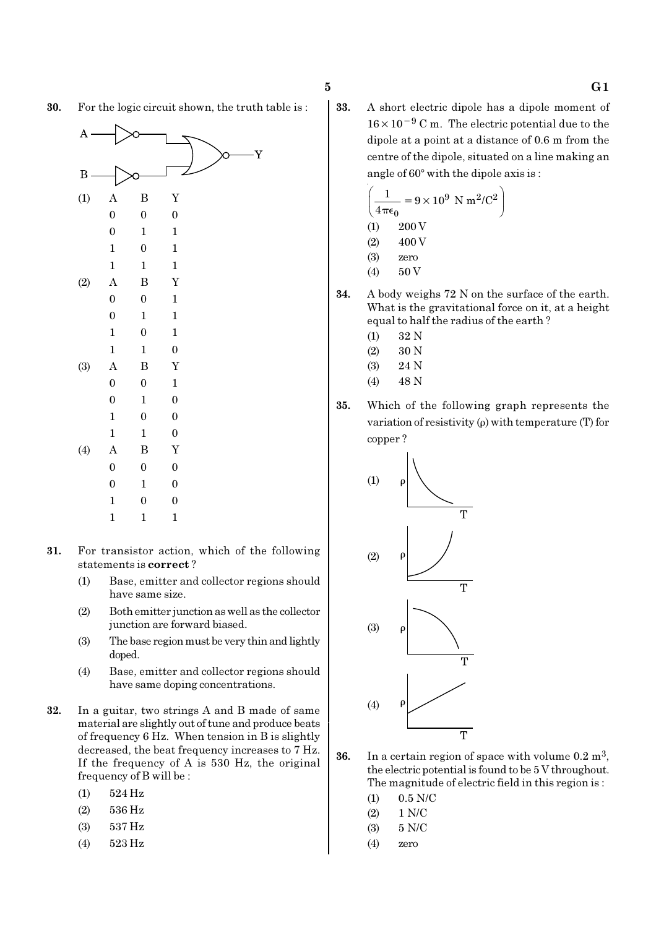- 30. For the logic circuit shown, the truth table is :
	- Y B (1) A B Y 0 0 0 0 1 1 1 0 1 1 1 1 (2) A B Y 0 0 1 0 1 1 1 0 1 1 1 0 (3) A B Y 0 0 1 0 1 0 1 0 0 1 1 0 (4) A B Y 0 0 0 0 1 0 1 0 0 1 1 1
- 31. For transistor action, which of the following statements is correct ?
	- (1) Base, emitter and collector regions should have same size.
	- (2) Both emitter junction as well as the collector junction are forward biased.
	- (3) The base region must be very thin and lightly doped.
	- (4) Base, emitter and collector regions should have same doping concentrations.
- 32. In a guitar, two strings A and B made of same material are slightly out of tune and produce beats of frequency 6 Hz. When tension in B is slightly decreased, the beat frequency increases to 7 Hz. If the frequency of A is 530 Hz, the original frequency of B will be :
	- (1) 524 Hz
	- (2) 536 Hz
	- (3) 537 Hz
	- (4) 523 Hz

33. A short electric dipole has a dipole moment of 16×10−<sup>9</sup> C m. The electric potential due to the dipole at a point at a distance of 0.6 m from the centre of the dipole, situated on a line making an angle of  $60^\circ$  with the dipole axis is :

$$
\left(\frac{1}{4\pi\epsilon_0} = 9 \times 10^9 \text{ N m}^2/\text{C}^2\right)
$$
  
(1) 200 V  
(2) 400 V  
(3) zero

- (4) 50 V
- 34. A body weighs 72 N on the surface of the earth. What is the gravitational force on it, at a height equal to half the radius of the earth ?
	- (1) 32 N
	- (2) 30 N
	- (3) 24 N
	- $(4)$  48 N
- 35. Which of the following graph represents the variation of resistivity  $(\rho)$  with temperature (T) for copper ?



- **36.** In a certain region of space with volume  $0.2 \text{ m}^3$ , the electric potential is found to be 5 V throughout. The magnitude of electric field in this region is :
	- $(1)$  0.5 N/C
	- (2) 1 N/C
	- (3) 5 N/C
	- (4) zero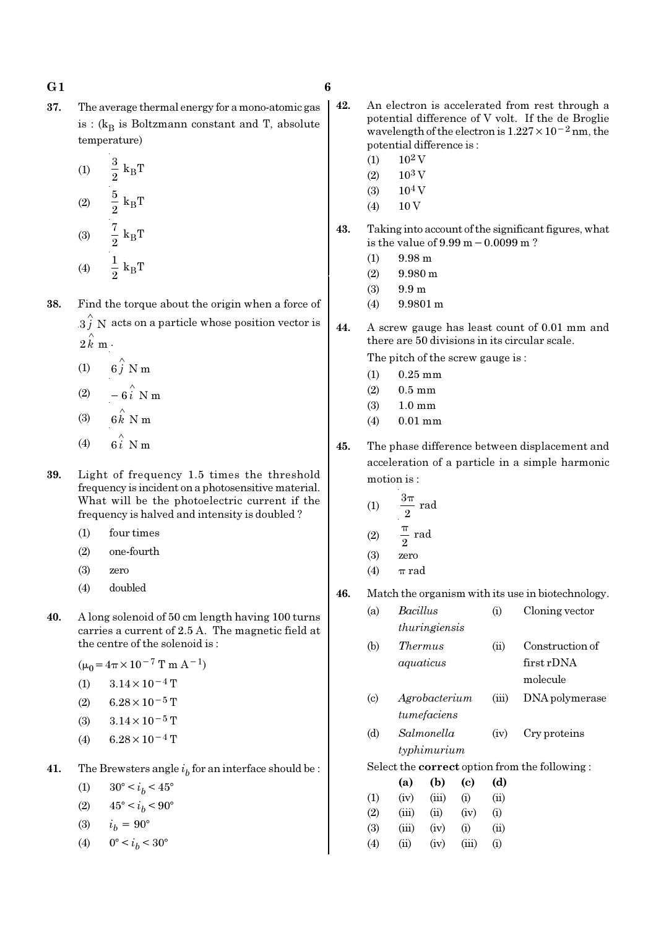37. The average thermal energy for a mono-atomic gas is : ( $k_B$  is Boltzmann constant and T, absolute temperature)

(1) 
$$
\frac{3}{2} k_{B}T
$$
  
\n(2)  $\frac{5}{2} k_{B}T$   
\n(3)  $\frac{7}{2} k_{B}T$   
\n(4)  $\frac{1}{2} k_{B}T$ 

 $\overline{2}$ 

38. Find the torque about the origin when a force of  $3 \hat{j}$  N acts on a particle whose position vector is  $2 \, \overset{\circ}{k} \, \text{m}$  .

- (1)  $6\hat{j}$  N m
- (2)  $-6\hat{i}$  N m
- (3)  $6 \hat{k}$  N m
- $(4)$ ∧
- 39. Light of frequency 1.5 times the threshold
- frequency is incident on a photosensitive material. What will be the photoelectric current if the frequency is halved and intensity is doubled ?
	- (1) four times
	- (2) one-fourth
	- (3) zero
	- (4) doubled
- 40. A long solenoid of 50 cm length having 100 turns carries a current of 2.5 A. The magnetic field at the centre of the solenoid is :

 $(\mu_0 = 4\pi \times 10^{-7} \text{ T m A}^{-1})$ 

- (1)  $3.14 \times 10^{-4}$  T
- (2) 6.28 × 10<sup>-5</sup> T
- (3)  $3.14 \times 10^{-5}$  T
- (4) 6.28 × 10<sup>-4</sup> T
- **41.** The Brewsters angle  $i_b$  for an interface should be :
	- (1)  $30^{\circ} < i_b < 45^{\circ}$
	- (2)  $45^{\circ} < i_b < 90^{\circ}$
	- (3)  $i_h = 90^\circ$
	- (4)  $0^{\circ} < i_b < 30^{\circ}$
- 42. An electron is accelerated from rest through a potential difference of V volt. If the de Broglie wavelength of the electron is 1.227×10−2 nm, the potential difference is :
	- $(1)$  10<sup>2</sup> V
	- $(2)$  10<sup>3</sup> V
	- $(3)$  10<sup>4</sup> V
	- $(4)$  10 V
- 43. Taking into account of the significant figures, what is the value of 9.99 m−0.0099 m ?
	- (1) 9.98 m
	- (2) 9.980 m
	- (3) 9.9 m
	- (4) 9.9801 m
- 44. A screw gauge has least count of 0.01 mm and there are 50 divisions in its circular scale.

The pitch of the screw gauge is :

- (1) 0.25 mm
- (2) 0.5 mm
- (3) 1.0 mm
- (4) 0.01 mm
- 45. The phase difference between displacement and acceleration of a particle in a simple harmonic motion is :
	- $(1)$  rad 2 π π

$$
(2) \qquad \frac{\pi}{2} \text{ rad}
$$

$$
(3) \qquad \text{zero}
$$

- (4)  $\pi$  rad
- 46. Match the organism with its use in biotechnology.
	- (a) Bacillus (i) Cloning vector thuringiensis
	- (b) Thermus (ii) Construction of aquaticus first rDNA molecule
	- (c) Agrobacterium (iii) DNA polymerase tumefaciens
	- (d) Salmonella (iv) Cry proteins typhimurium

Select the correct option from the following :

|            | (a)   | (b)   | (c)      | (d)  |
|------------|-------|-------|----------|------|
| (1)        | (iv)  | (iii) | $\rm(i)$ | (ii) |
| (2)        | (iii) | (ii)  | (iv)     | (i)  |
| <b>(3)</b> | (iii) | (iv)  | $\rm(i)$ | (ii) |
| (4)        | (ii)  | (iv)  | (iii)    | (i)  |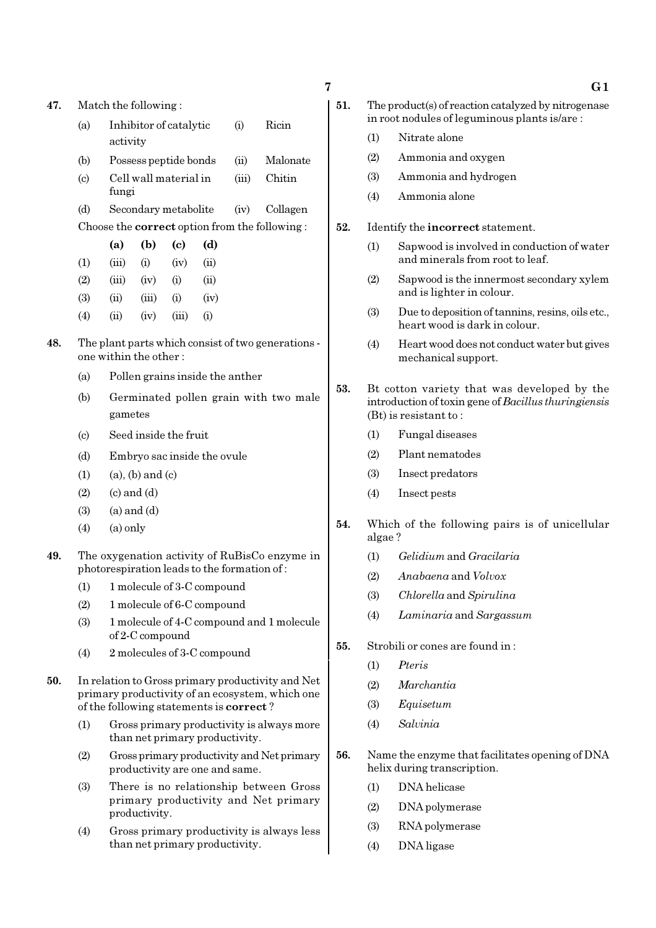| 47.                                                     |                             | Match the following:                                                                         |                 |                       |                                |       |                                                                                                      |  |  |
|---------------------------------------------------------|-----------------------------|----------------------------------------------------------------------------------------------|-----------------|-----------------------|--------------------------------|-------|------------------------------------------------------------------------------------------------------|--|--|
|                                                         | (a)                         | Ricin<br>Inhibitor of catalytic<br>(i)<br>activity                                           |                 |                       |                                |       |                                                                                                      |  |  |
|                                                         | (b)                         |                                                                                              |                 | Possess peptide bonds |                                | (ii)  | Malonate                                                                                             |  |  |
|                                                         | $\left( \mathrm{c} \right)$ | fungi                                                                                        |                 | Cell wall material in |                                | (iii) | Chitin                                                                                               |  |  |
|                                                         | (d)                         |                                                                                              |                 | Secondary metabolite  |                                | (iv)  | Collagen                                                                                             |  |  |
|                                                         |                             |                                                                                              |                 |                       |                                |       | Choose the <b>correct</b> option from the following:                                                 |  |  |
|                                                         |                             | (a)                                                                                          | (b)             | (c)                   | (d)                            |       |                                                                                                      |  |  |
|                                                         | (1)                         | (iii)                                                                                        | (i)             | (iv)                  | (ii)                           |       |                                                                                                      |  |  |
|                                                         | (2)                         | (iii)                                                                                        | (iv)            | (i)                   | (ii)                           |       |                                                                                                      |  |  |
|                                                         | (3)                         | (ii)                                                                                         | (iii)           | (i)                   | (iv)                           |       |                                                                                                      |  |  |
|                                                         | (4)                         | (ii)                                                                                         | (iv)            | (iii)                 | (i)                            |       |                                                                                                      |  |  |
| 48.                                                     |                             | The plant parts which consist of two generations -<br>one within the other:                  |                 |                       |                                |       |                                                                                                      |  |  |
|                                                         | (a)                         | Pollen grains inside the anther                                                              |                 |                       |                                |       |                                                                                                      |  |  |
| (b)<br>Germinated pollen grain with two male<br>gametes |                             |                                                                                              |                 |                       |                                |       |                                                                                                      |  |  |
|                                                         | $\left( \text{c} \right)$   |                                                                                              |                 | Seed inside the fruit |                                |       |                                                                                                      |  |  |
|                                                         | (d)                         |                                                                                              |                 |                       | Embryo sac inside the ovule    |       |                                                                                                      |  |  |
|                                                         | (1)                         | $(a)$ , $(b)$ and $(c)$                                                                      |                 |                       |                                |       |                                                                                                      |  |  |
|                                                         | (2)                         | $(c)$ and $(d)$                                                                              |                 |                       |                                |       |                                                                                                      |  |  |
|                                                         | (3)                         |                                                                                              | $(a)$ and $(d)$ |                       |                                |       |                                                                                                      |  |  |
|                                                         | (4)                         | $(a)$ only                                                                                   |                 |                       |                                |       |                                                                                                      |  |  |
| 49.                                                     |                             | The oxygenation activity of RuBisCo enzyme in<br>photorespiration leads to the formation of: |                 |                       |                                |       |                                                                                                      |  |  |
|                                                         |                             | (1) 1 molecule of 3-C compound                                                               |                 |                       |                                |       |                                                                                                      |  |  |
|                                                         | (2)                         | 1 molecule of 6-C compound                                                                   |                 |                       |                                |       |                                                                                                      |  |  |
|                                                         | (3)                         | 1 molecule of 4-C compound and 1 molecule<br>of 2-C compound                                 |                 |                       |                                |       |                                                                                                      |  |  |
|                                                         | (4)                         | 2 molecules of 3-C compound                                                                  |                 |                       |                                |       |                                                                                                      |  |  |
| 50.                                                     |                             | of the following statements is <b>correct</b> ?                                              |                 |                       |                                |       | In relation to Gross primary productivity and Net<br>primary productivity of an ecosystem, which one |  |  |
|                                                         | (1)                         |                                                                                              |                 |                       | than net primary productivity. |       | Gross primary productivity is always more                                                            |  |  |
|                                                         | (2)                         |                                                                                              |                 |                       | productivity are one and same. |       | Gross primary productivity and Net primary                                                           |  |  |
|                                                         | (3)                         |                                                                                              | productivity.   |                       |                                |       | There is no relationship between Gross<br>primary productivity and Net primary                       |  |  |

(4) Gross primary productivity is always less than net primary productivity.

- 51. The product(s) of reaction catalyzed by nitrogenase in root nodules of leguminous plants is/are :
	- (1) Nitrate alone
	- (2) Ammonia and oxygen
	- (3) Ammonia and hydrogen
	- (4) Ammonia alone
- 52. Identify the incorrect statement.
	- (1) Sapwood is involved in conduction of water and minerals from root to leaf.
	- (2) Sapwood is the innermost secondary xylem and is lighter in colour.
	- (3) Due to deposition of tannins, resins, oils etc., heart wood is dark in colour.
	- (4) Heart wood does not conduct water but gives mechanical support.
- 53. Bt cotton variety that was developed by the introduction of toxin gene of Bacillus thuringiensis (Bt) is resistant to :
	- (1) Fungal diseases
	- (2) Plant nematodes
	- (3) Insect predators
	- (4) Insect pests
- 54. Which of the following pairs is of unicellular algae ?
	- (1) Gelidium and Gracilaria
	- (2) Anabaena and Volvox
	- (3) Chlorella and Spirulina
	- (4) Laminaria and Sargassum
- 55. Strobili or cones are found in :
	- (1) Pteris
	- (2) Marchantia
	- (3) Equisetum
	- (4) Salvinia
- 56. Name the enzyme that facilitates opening of DNA helix during transcription.
	- (1) DNA helicase
	- (2) DNA polymerase
	- (3) RNA polymerase
	- (4) DNA ligase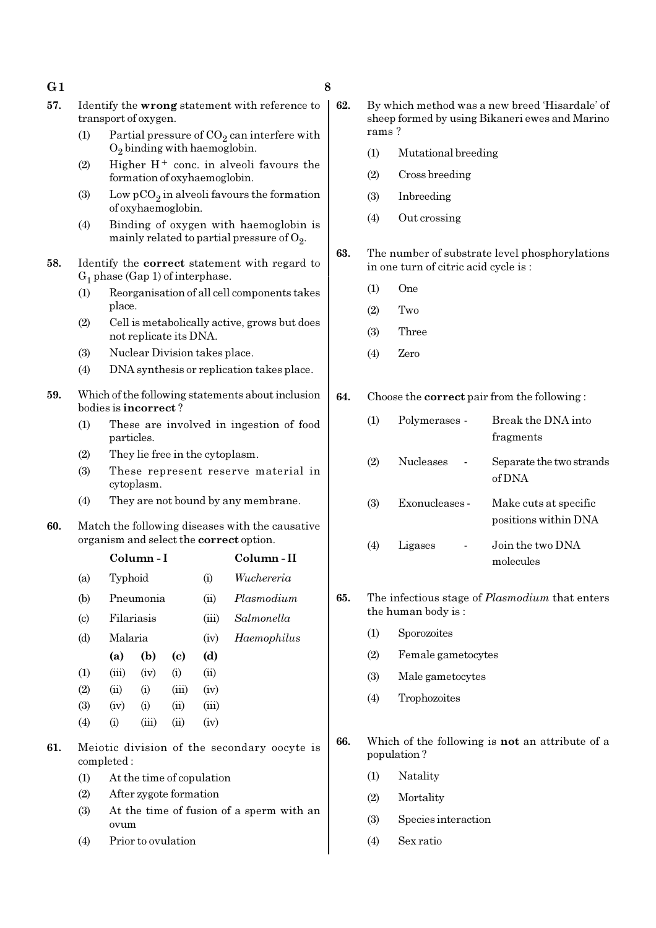- G1  $\qquad \qquad 8$
- 57. Identify the wrong statement with reference to transport of oxygen.
	- (1) Partial pressure of  $CO_2$  can interfere with  $O_2$  binding with haemoglobin.
	- (2) Higher  $H^+$  conc. in alveoli favours the formation of oxyhaemoglobin.
	- (3) Low  $pCO_2$  in alveoli favours the formation of oxyhaemoglobin.
	- (4) Binding of oxygen with haemoglobin is mainly related to partial pressure of  $\mathrm{O}_2$ .
- 58. Identify the correct statement with regard to  $G_1$  phase (Gap 1) of interphase.
	- (1) Reorganisation of all cell components takes place.
	- (2) Cell is metabolically active, grows but does not replicate its DNA.
	- (3) Nuclear Division takes place.
	- (4) DNA synthesis or replication takes place.
- 59. Which of the following statements about inclusion bodies is incorrect ?
	- (1) These are involved in ingestion of food particles.
	- (2) They lie free in the cytoplasm.
	- (3) These represent reserve material in cytoplasm.
	- (4) They are not bound by any membrane.
- 60. Match the following diseases with the causative organism and select the correct option.

|                             |         | Column - I |       |       | Column - II |
|-----------------------------|---------|------------|-------|-------|-------------|
| (a)                         | Typhoid |            |       | (i)   | Wuchereria  |
| (b)                         |         | Pneumonia  |       | (ii)  | Plasmodium  |
| $\left( \mathrm{c} \right)$ |         | Filariasis |       |       | Salmonella  |
| (d)                         |         | Malaria    |       |       | Haemophilus |
|                             | (a)     | (b)        | (c)   | (d)   |             |
| (1)                         | (iii)   | (iv)       | (i)   | (ii)  |             |
| (2)                         | (ii)    | (i)        | (iii) | (iv)  |             |
| (3)                         | (iv)    | (i)        | (ii)  | (iii) |             |
| (4)                         | (i)     | (iii)      | (ii)  | (iv)  |             |
|                             |         |            |       |       |             |

- 61. Meiotic division of the secondary oocyte is completed :
	- (1) At the time of copulation
	- (2) After zygote formation
	- (3) At the time of fusion of a sperm with an ovum
	- (4) Prior to ovulation
- 62. By which method was a new breed 'Hisardale' of sheep formed by using Bikaneri ewes and Marino rams ?
	- (1) Mutational breeding
	- (2) Cross breeding
	- (3) Inbreeding
	- (4) Out crossing
- 63. The number of substrate level phosphorylations in one turn of citric acid cycle is :
	- (1) One
	- (2) Two
	- (3) Three
	- (4) Zero

64. Choose the correct pair from the following :

| (1) | Polymerases -    | Break the DNA into<br>fragments               |
|-----|------------------|-----------------------------------------------|
| (2) | <b>Nucleases</b> | Separate the two strands<br>of DNA            |
| (3) | Exonucleases -   | Make cuts at specific<br>positions within DNA |
| (4) | Ligases          | Join the two DNA<br>molecules                 |

- 65. The infectious stage of Plasmodium that enters the human body is :
	- (1) Sporozoites
	- (2) Female gametocytes
	- (3) Male gametocytes
	- (4) Trophozoites
- 66. Which of the following is not an attribute of a population ?
	- (1) Natality
	- (2) Mortality
	- (3) Species interaction
	- (4) Sex ratio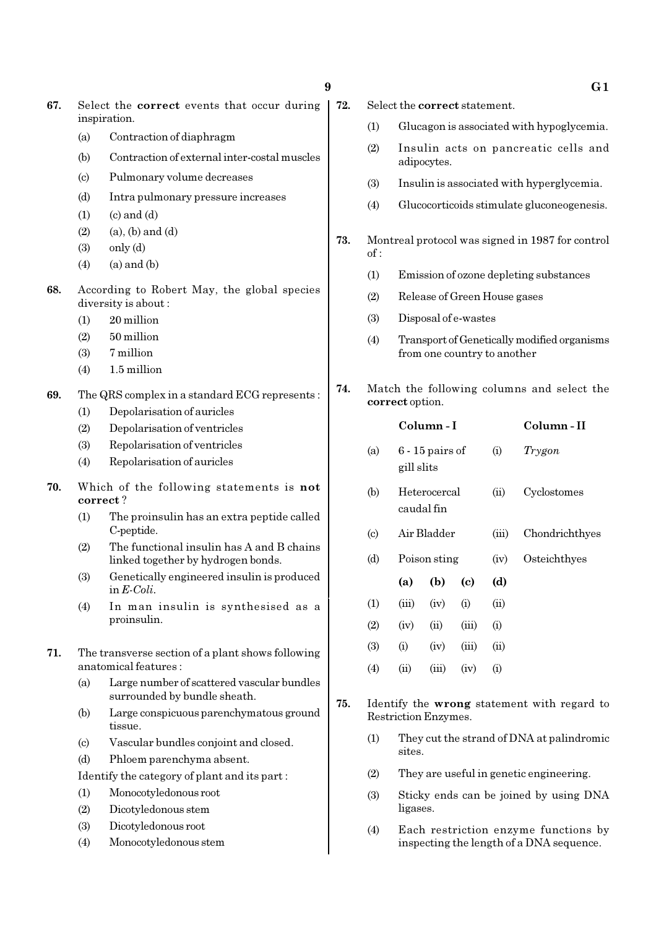- 67. Select the correct events that occur during inspiration.
	- (a) Contraction of diaphragm
	- (b) Contraction of external inter-costal muscles
	- (c) Pulmonary volume decreases
	- (d) Intra pulmonary pressure increases
	- $(1)$   $(c)$  and  $(d)$
	- $(2)$   $(a)$ ,  $(b)$  and  $(d)$
	- $(3)$  only  $(d)$
	- $(4)$   $(a)$  and  $(b)$
- 68. According to Robert May, the global species diversity is about :
	- (1) 20 million
	- $(2)$  50 million
	- (3) 7 million
	- (4) 1.5 million
- 69. The QRS complex in a standard ECG represents :
	- (1) Depolarisation of auricles
	- (2) Depolarisation of ventricles
	- (3) Repolarisation of ventricles
	- (4) Repolarisation of auricles
- 70. Which of the following statements is not correct ?
	- (1) The proinsulin has an extra peptide called C-peptide.
	- (2) The functional insulin has A and B chains linked together by hydrogen bonds.
	- (3) Genetically engineered insulin is produced in E-Coli.
	- (4) In man insulin is synthesised as a proinsulin.
- 71. The transverse section of a plant shows following anatomical features :
	- (a) Large number of scattered vascular bundles surrounded by bundle sheath.
	- (b) Large conspicuous parenchymatous ground tissue.
	- (c) Vascular bundles conjoint and closed.
	- (d) Phloem parenchyma absent.
	- Identify the category of plant and its part :
	- (1) Monocotyledonous root
	- (2) Dicotyledonous stem
	- (3) Dicotyledonous root
	- (4) Monocotyledonous stem
- $9 \hspace{3.1em} \text{G1}$ 72. Select the correct statement. (1) Glucagon is associated with hypoglycemia. (2) Insulin acts on pancreatic cells and adipocytes. (3) Insulin is associated with hyperglycemia. (4) Glucocorticoids stimulate gluconeogenesis. of : (1) Emission of ozone depleting substances (2) Release of Green House gases (3) Disposal of e-wastes (4) Transport of Genetically modified organisms from one country to another correct option. Column - I Column - II (a)  $6 - 15$  pairs of (i) Trygon gill slits (b) Heterocercal (ii) Cyclostomes caudal fin (c) Air Bladder (iii) Chondrichthyes (d) Poison sting (iv) Osteichthyes (a) (b) (c) (d)  $(1)$   $(iii)$   $(iv)$   $(i)$   $(ii)$ 
	- $(4)$   $(ii)$   $(iii)$   $(iv)$   $(i)$
	- 75. Identify the wrong statement with regard to Restriction Enzymes.
		- (1) They cut the strand of DNA at palindromic sites.
		- (2) They are useful in genetic engineering.
		- (3) Sticky ends can be joined by using DNA ligases.
		- (4) Each restriction enzyme functions by inspecting the length of a DNA sequence.

## 73. Montreal protocol was signed in 1987 for control

74. Match the following columns and select the

 $(2)$   $(iv)$   $(ii)$   $(iii)$   $(i)$  $(3)$  (i) (iv) (iii) (ii)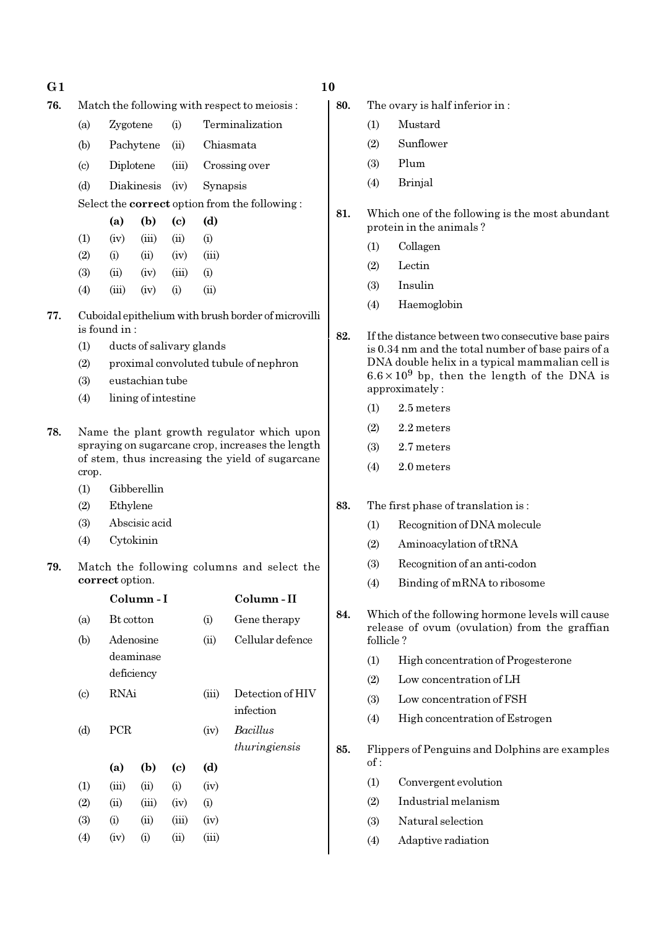- 76. Match the following with respect to meiosis :
	- (a) Zygotene (i) Terminalization
	- (b) Pachytene (ii) Chiasmata
	- (c) Diplotene (iii) Crossing over
	- (d) Diakinesis (iv) Synapsis

Select the correct option from the following :

|     | (a)   | (b)   | (c)       | (d)            |
|-----|-------|-------|-----------|----------------|
| (1) | (iv)  | (iii) | (ii)      | (i)            |
| (2) | (i)   | (ii)  | (iv)      | (iii)          |
| (3) | (ii)  | (iv)  | (iii)     | (i)            |
| (4) | (iii) | (iv)  | $\rm (i)$ | $\overline{u}$ |

- 77. Cuboidal epithelium with brush border of microvilli is found in :
	- (1) ducts of salivary glands
	- (2) proximal convoluted tubule of nephron
	- (3) eustachian tube
	- (4) lining of intestine
- 78. Name the plant growth regulator which upon spraying on sugarcane crop, increases the length of stem, thus increasing the yield of sugarcane crop.
	- (1) Gibberellin
	- (2) Ethylene
	- (3) Abscisic acid
	- (4) Cytokinin
- 79. Match the following columns and select the correct option.

|                           |           | Column-I                             |                            |       | Column - II                   |
|---------------------------|-----------|--------------------------------------|----------------------------|-------|-------------------------------|
| (a)                       | Bt cotton |                                      |                            | (i)   | Gene therapy                  |
| (b)                       |           | Adenosine<br>deaminase<br>deficiency |                            | (ii)  | Cellular defence              |
| $\left( \text{c} \right)$ | RNAi      |                                      |                            | (iii) | Detection of HIV<br>infection |
| (d)                       | PCR       |                                      |                            | (iv)  | Bacillus<br>thuringiensis     |
|                           | (a)       | (b)                                  | $\left( \mathrm{e}\right)$ | (d)   |                               |
| (1)                       | (iii)     | (ii)                                 | (i)                        | (iv)  |                               |
| (2)                       | (ii)      | (iii)                                | (iv)                       | (i)   |                               |
| (3)                       | (i)       | (ii)                                 | (iii)                      | (iv)  |                               |
| (4)                       | (iv)      | (i)                                  | (ii)                       | (iii) |                               |

- 80. The ovary is half inferior in :
	- (1) Mustard
	- (2) Sunflower
	- (3) Plum
	- (4) Brinjal
- 81. Which one of the following is the most abundant protein in the animals ?
	- (1) Collagen
	- (2) Lectin
	- (3) Insulin
	- (4) Haemoglobin
- 82. If the distance between two consecutive base pairs is 0.34 nm and the total number of base pairs of a DNA double helix in a typical mammalian cell is  $6.6 \times 10^9$  bp, then the length of the DNA is approximately :
	- (1) 2.5 meters
	- $(2)$  2.2 meters
	- (3) 2.7 meters
	- (4) 2.0 meters
- 83. The first phase of translation is :
	- (1) Recognition of DNA molecule
	- (2) Aminoacylation of tRNA
	- (3) Recognition of an anti-codon
	- (4) Binding of mRNA to ribosome
- 84. Which of the following hormone levels will cause release of ovum (ovulation) from the graffian follicle ?
	- (1) High concentration of Progesterone
	- (2) Low concentration of LH
	- (3) Low concentration of FSH
	- (4) High concentration of Estrogen
- 85. Flippers of Penguins and Dolphins are examples of :
	- (1) Convergent evolution
	- (2) Industrial melanism
	- (3) Natural selection
	- (4) Adaptive radiation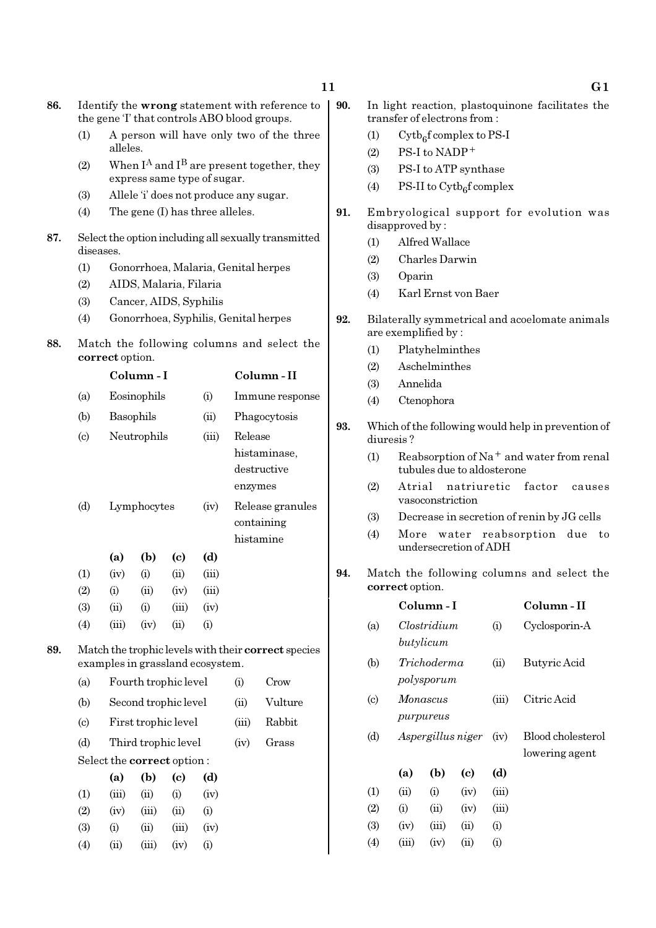| 11 |             |                                                                                 |  |  |
|----|-------------|---------------------------------------------------------------------------------|--|--|
|    | $\vert$ 90. | In light reaction, plastoquinone facilitates the<br>transfer of electrons from: |  |  |
|    |             | $\mathrm{Cytb}_{6}$ f complex to PS-I                                           |  |  |

- $(2)$  PS-I to NADP<sup>+</sup>
- (3) PS-I to ATP synthase
- (4) PS-II to  $\text{Cytb}_6\text{f}$  complex
- 91. Embryological support for evolution was disapproved by :
	- (1) Alfred Wallace
	- (2) Charles Darwin
	- (3) Oparin
	- (4) Karl Ernst von Baer
- 92. Bilaterally symmetrical and acoelomate animals are exemplified by :
	- (1) Platyhelminthes
	- (2) Aschelminthes
	- (3) Annelida
	- (4) Ctenophora
- 93. Which of the following would help in prevention of diuresis ?
	- (1) Reabsorption of Na<sup>+</sup> and water from renal tubules due to aldosterone
	- (2) Atrial natriuretic factor causes vasoconstriction
	- (3) Decrease in secretion of renin by JG cells
	- (4) More water reabsorption due to undersecretion of ADH
- 94. Match the following columns and select the correct option.

|                            |                           | Column - I               |                             |          | Column - II                         |
|----------------------------|---------------------------|--------------------------|-----------------------------|----------|-------------------------------------|
| (a)                        |                           | Clostridium<br>butylicum |                             | (i)      | Cyclosporin-A                       |
| (b)                        | Trichoderma<br>polysporum |                          |                             | (ii)     | Butyric Acid                        |
| $\left( \mathrm{c}\right)$ |                           | Monascus<br>purpureus    |                             |          | Citric Acid                         |
| (d)                        | Aspergillus niger         |                          |                             | (iv)     | Blood cholesterol<br>lowering agent |
|                            | (a)                       | (b)                      | $\left( \mathrm{c} \right)$ | (d)      |                                     |
| (1)                        | (ii)                      | (i)                      | (iv)                        | (iii)    |                                     |
| (2)                        | (i)                       | (ii)                     | (iv)                        | (iii)    |                                     |
| (3)                        | (iv)                      | (iii)                    | (ii)                        | (i)      |                                     |
| (4)                        | (iii)                     | (iv)                     | (ii)                        | $\rm(i)$ |                                     |

(1) A person will have only two of the three alleles. (2) When  $I^A$  and  $I^B$  are present together, they express same type of sugar. (3) Allele 'i' does not produce any sugar. (4) The gene (I) has three alleles. 87. Select the option including all sexually transmitted diseases. (1) Gonorrhoea, Malaria, Genital herpes (2) AIDS, Malaria, Filaria (3) Cancer, AIDS, Syphilis (4) Gonorrhoea, Syphilis, Genital herpes 88. Match the following columns and select the correct option. Column - I Column - II (a) Eosinophils (i) Immune response (b) Basophils (ii) Phagocytosis

86. Identify the wrong statement with reference to the gene 'I' that controls ABO blood groups.

> (c) Neutrophils (iii) Release histaminase, destructive enzymes (d) Lymphocytes (iv) Release granules containing histamine

|                   | (a)      | (b)  | (c)        | (d)               |
|-------------------|----------|------|------------|-------------------|
| (1)               | (iv)     | (i)  | (ii)       | (iii)             |
| (2)               | $\rm(i)$ | (ii) | (iv)       | (iii)             |
| (3)               | (ii)     | (i)  | (iii)      | (iv)              |
| $\left( 4\right)$ | (iii)    | (iv) | $\rm (11)$ | $\left( 1\right)$ |

 $(4)$   $(ii)$   $(iii)$   $(iv)$   $(i)$ 

89. Match the trophic levels with their correct species examples in grassland ecosystem.

| (a)                         |                                   | Fourth trophic level |                      | $\rm(i)$ | Crow  |         |
|-----------------------------|-----------------------------------|----------------------|----------------------|----------|-------|---------|
| (b)                         |                                   |                      | Second trophic level |          | (ii)  | Vulture |
| $\left( \mathrm{c} \right)$ |                                   |                      | First trophic level  |          | (iii) | Rabbit  |
| (d)                         |                                   | Third trophic level  |                      | (iv)     | Grass |         |
|                             | Select the <b>correct</b> option: |                      |                      |          |       |         |
|                             | (a)                               | (b)                  | (c)                  | (d)      |       |         |
| (1)                         | (iii)                             | (ii)                 | (i)                  | (iv)     |       |         |
| (2)                         | (iv)                              | (iii)                | (ii)                 | (i)      |       |         |
| (3)                         | (1)                               | $\dot{\mathbf{u}}$   | (iii)                | (iv)     |       |         |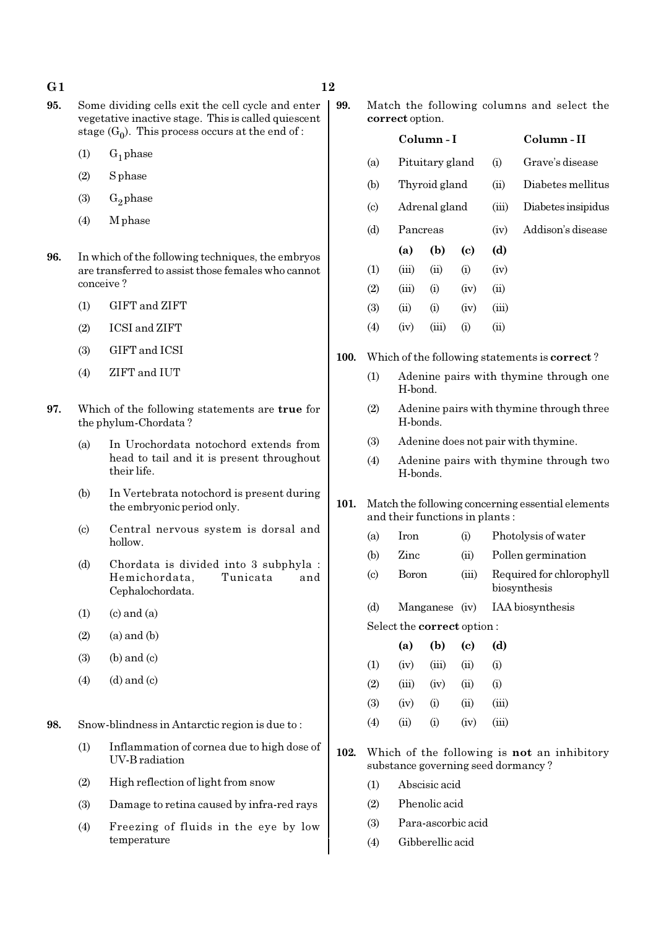- 95. Some dividing cells exit the cell cycle and enter vegetative inactive stage. This is called quiescent stage  $(G_0)$ . This process occurs at the end of :
	- $(1)$  G<sub>1</sub> phase
	- (2) S phase
	- (3)  $G_2$  phase
	- (4) M phase
- 96. In which of the following techniques, the embryos are transferred to assist those females who cannot conceive ?
	- (1) GIFT and ZIFT
	- (2) ICSI and ZIFT
	- (3) GIFT and ICSI
	- (4) ZIFT and IUT
- 97. Which of the following statements are true for the phylum-Chordata ?
	- (a) In Urochordata notochord extends from head to tail and it is present throughout their life.
	- (b) In Vertebrata notochord is present during the embryonic period only.
	- (c) Central nervous system is dorsal and hollow.
	- (d) Chordata is divided into 3 subphyla : Hemichordata, Tunicata and Cephalochordata.
	- $(1)$   $(c)$  and  $(a)$
	- $(2)$   $(a)$  and  $(b)$
	- $(3)$  (b) and  $(c)$
	- $(4)$   $(d)$  and  $(c)$

98. Snow-blindness in Antarctic region is due to :

- (1) Inflammation of cornea due to high dose of UV-B radiation
- (2) High reflection of light from snow
- (3) Damage to retina caused by infra-red rays
- (4) Freezing of fluids in the eye by low temperature

99. Match the following columns and select the correct option.

|      |                             | Column - I |                                                       |      |       | Column - II                                                                                                                  |
|------|-----------------------------|------------|-------------------------------------------------------|------|-------|------------------------------------------------------------------------------------------------------------------------------|
|      | (a)                         |            | Pituitary gland                                       |      | (i)   | Grave's disease                                                                                                              |
|      | (b)                         |            | Thyroid gland                                         |      | (ii)  | Diabetes mellitus                                                                                                            |
|      | $\left( \mathrm{c} \right)$ |            | Adrenal gland                                         |      | (iii) | Diabetes insipidus                                                                                                           |
|      | (d)                         | Pancreas   |                                                       |      | (iv)  | Addison's disease                                                                                                            |
|      |                             | (a)        | (b)                                                   | (c)  | (d)   |                                                                                                                              |
|      | (1)                         | (iii)      | (ii)                                                  | (i)  | (iv)  |                                                                                                                              |
|      | (2)                         | (iii)      | (i)                                                   | (iv) | (ii)  |                                                                                                                              |
|      | (3)                         | (ii)       | (i)                                                   | (iv) | (iii) |                                                                                                                              |
|      | (4)                         | (iv)       | (iii)                                                 | (i)  | (ii)  |                                                                                                                              |
| 100. |                             |            | Which of the following statements is <b>correct</b> ? |      |       |                                                                                                                              |
|      | (1)                         | H-bond.    |                                                       |      |       | Adenine pairs with thymine through one                                                                                       |
|      | $\sim$                      |            |                                                       |      |       | $\mathbf{A}$ , and the set of the set of the set of $\mathbf{A}$ , and the set of $\mathbf{A}$ , and the set of $\mathbf{A}$ |

- (2) Adenine pairs with thymine through three H-bonds.
- (3) Adenine does not pair with thymine.
- (4) Adenine pairs with thymine through two H-bonds.
- 101. Match the following concerning essential elements and their functions in plants :
	- (a) Iron (i) Photolysis of water
	- (b) Zinc (ii) Pollen germination
	- (c) Boron (iii) Required for chlorophyll biosynthesis
	- (d) Manganese (iv) IAA biosynthesis
	- Select the correct option :

|          | (a)    | (b)   | (c)  | (d)   |
|----------|--------|-------|------|-------|
| $\rm(1)$ | (iv)   | (iii) | (i)  | (i)   |
| (2)      | (iii)  | (iv)  | (ii) | (i)   |
| (3)      | (iv)   | (i)   | (ii) | (iii) |
| (4)      | $\sin$ | (i)   | (iv) | (iii) |

- 102. Which of the following is not an inhibitory substance governing seed dormancy ?
	- (1) Abscisic acid
	- (2) Phenolic acid
	- (3) Para-ascorbic acid
	- (4) Gibberellic acid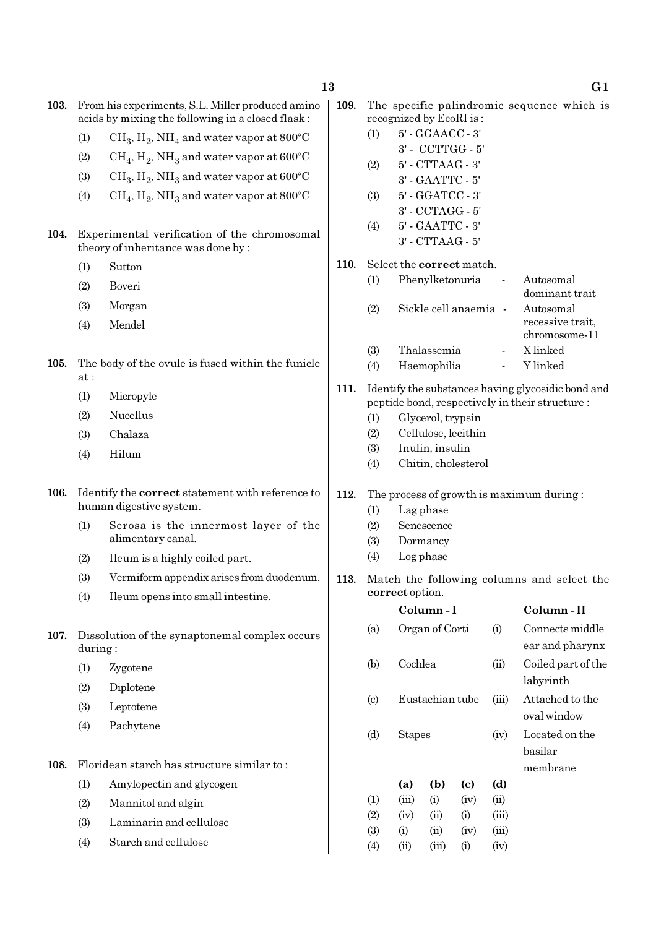- 103. From his experiments, S.L. Miller produced amino acids by mixing the following in a closed flask :
	- (1)  $\mathrm{CH}_3, \mathrm{H}_2, \mathrm{NH}_4$  and water vapor at 800°C
	- (2)  $\mathrm{CH}_4, \mathrm{H}_2, \mathrm{NH}_3$  and water vapor at 600°C
	- (3)  $\text{CH}_3, \text{H}_2, \text{NH}_3$  and water vapor at 600°C
	- (4)  $\rm CH_4, H_2, NH_3$  and water vapor at 800°C
- 104. Experimental verification of the chromosomal theory of inheritance was done by :
	- (1) Sutton
	- (2) Boveri
	- (3) Morgan
	- (4) Mendel
- 105. The body of the ovule is fused within the funicle at :
	- (1) Micropyle
	- (2) Nucellus
	- (3) Chalaza
	- (4) Hilum
- 106. Identify the correct statement with reference to human digestive system.
	- (1) Serosa is the innermost layer of the alimentary canal.
	- (2) Ileum is a highly coiled part.
	- (3) Vermiform appendix arises from duodenum.
	- (4) Ileum opens into small intestine.
- 107. Dissolution of the synaptonemal complex occurs during :
	- (1) Zygotene
	- (2) Diplotene
	- (3) Leptotene
	- (4) Pachytene
- 108. Floridean starch has structure similar to :
	- (1) Amylopectin and glycogen
	- (2) Mannitol and algin
	- (3) Laminarin and cellulose
	- (4) Starch and cellulose
- 109. The specific palindromic sequence which is recognized by EcoRI is :
	- (1) 5' GGAACC 3' 3' - CCTTGG - 5' (2) 5' - CTTAAG - 3' 3' - GAATTC - 5' (3) 5' - GGATCC - 3' 3' - CCTAGG - 5'
	- (4) 5' GAATTC 3' 3' - CTTAAG - 5'

#### 110. Select the correct match.

| (1)        | Phenylketonuria       | Autosomal        |
|------------|-----------------------|------------------|
|            |                       | dominant trait   |
| (2)        | Sickle cell anaemia - | Autosomal        |
|            |                       | recessive trait. |
|            |                       | chromosome-11    |
| <b>(3)</b> | Thalassemia           | X linked         |
| (4)        | Haemophilia           | Y linked         |
|            |                       |                  |

- 111. Identify the substances having glycosidic bond and peptide bond, respectively in their structure :
	- (1) Glycerol, trypsin
	- (2) Cellulose, lecithin
	- (3) Inulin, insulin
	- (4) Chitin, cholesterol
- 112. The process of growth is maximum during :
	- (1) Lag phase
	- (2) Senescence
	- (3) Dormancy
	- (4) Log phase
- 113. Match the following columns and select the correct option.

|                            |          | Column - I      |                             |       | Column - II        |
|----------------------------|----------|-----------------|-----------------------------|-------|--------------------|
| (a)                        |          | Organ of Corti  |                             | (i)   | Connects middle    |
|                            |          |                 |                             |       | ear and pharynx    |
| (b)                        | Cochlea  |                 |                             | (ii)  | Coiled part of the |
|                            |          |                 |                             |       | labyrinth          |
| $\left( \mathrm{c}\right)$ |          | Eustachian tube |                             | (iii) | Attached to the    |
|                            |          |                 |                             |       | oval window        |
| (d)                        |          | <b>Stapes</b>   |                             |       | Located on the     |
|                            |          |                 |                             |       | basilar            |
|                            |          |                 |                             |       | membrane           |
|                            | (a)      | (b)             | $\left( \mathrm{c} \right)$ | (d)   |                    |
| (1)                        | (iii)    | (i)             | (iv)                        | (ii)  |                    |
| (2)                        | (iv)     | (ii)            | (i)                         | (iii) |                    |
| (3)                        | $\rm(i)$ | (ii)            | (iv)                        | (iii) |                    |
| $\left( 4\right)$          | (ii)     | (iii)           | (i)                         | (iv)  |                    |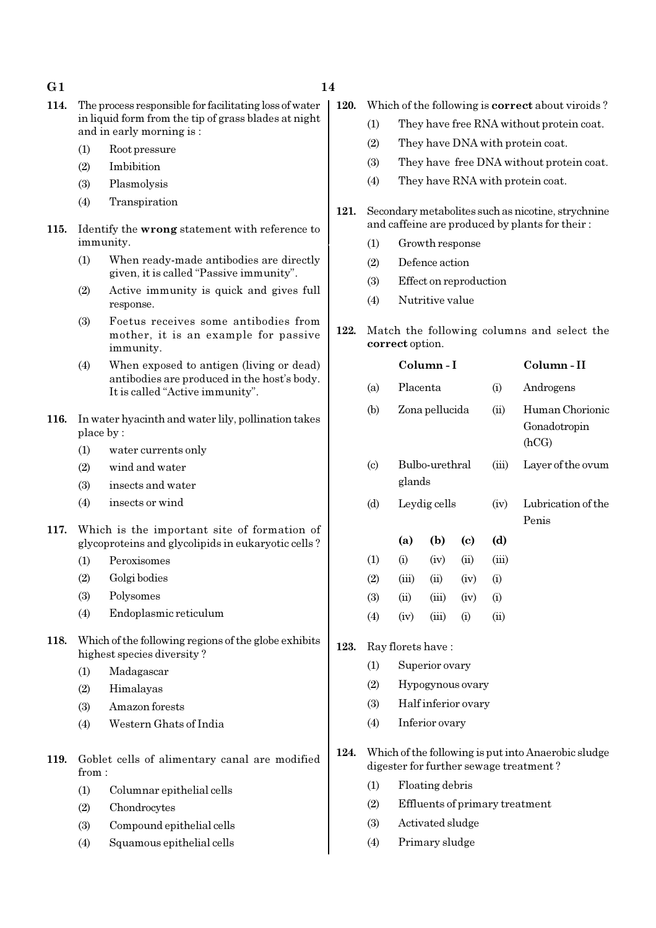- 114. The process responsible for facilitating loss of water in liquid form from the tip of grass blades at night and in early morning is :
	- (1) Root pressure
	- (2) Imbibition
	- (3) Plasmolysis
	- (4) Transpiration
- 115. Identify the wrong statement with reference to immunity.
	- (1) When ready-made antibodies are directly given, it is called "Passive immunity".
	- (2) Active immunity is quick and gives full response.
	- (3) Foetus receives some antibodies from mother, it is an example for passive immunity.
	- (4) When exposed to antigen (living or dead) antibodies are produced in the host's body. It is called "Active immunity".
- 116. In water hyacinth and water lily, pollination takes place by :
	- (1) water currents only
	- (2) wind and water
	- (3) insects and water
	- (4) insects or wind
- 117. Which is the important site of formation of glycoproteins and glycolipids in eukaryotic cells ?
	- (1) Peroxisomes
	- (2) Golgi bodies
	- (3) Polysomes
	- (4) Endoplasmic reticulum
- 118. Which of the following regions of the globe exhibits highest species diversity ?
	- (1) Madagascar
	- (2) Himalayas
	- (3) Amazon forests
	- (4) Western Ghats of India
- 119. Goblet cells of alimentary canal are modified from :
	- (1) Columnar epithelial cells
	- (2) Chondrocytes
	- (3) Compound epithelial cells
	- (4) Squamous epithelial cells
- 120. Which of the following is correct about viroids ?
	- (1) They have free RNA without protein coat.
	- (2) They have DNA with protein coat.
	- (3) They have free DNA without protein coat.
	- (4) They have RNA with protein coat.
- 121. Secondary metabolites such as nicotine, strychnine and caffeine are produced by plants for their :
	- (1) Growth response
	- (2) Defence action
	- (3) Effect on reproduction
	- (4) Nutritive value
- 122. Match the following columns and select the correct option.

|                            |                | Column - I               |      | Column - II |                                          |
|----------------------------|----------------|--------------------------|------|-------------|------------------------------------------|
| (a)                        |                | Placenta                 |      |             | Androgens                                |
| (b)                        | Zona pellucida |                          |      | (ii)        | Human Chorionic<br>Gonadotropin<br>(hCG) |
| $\left( \mathrm{c}\right)$ |                | Bulbo-urethral<br>glands |      |             | Layer of the ovum                        |
| (d)                        |                | Leydig cells             |      | (iv)        | Lubrication of the                       |
|                            |                |                          |      |             | Penis                                    |
|                            | (a)            | (b)                      | (c)  | (d)         |                                          |
| (1)                        | (i)            | (iv)                     | (ii) | (iii)       |                                          |
| (2)                        | (iii)          | (ii)                     | (iv) | (i)         |                                          |
| (3)                        | (ii)           | (iii)                    | (iv) | (i)         |                                          |
| (4)                        | (iv)           | (iii)                    | (i)  | (ii)        |                                          |
| Ray florets have:          |                |                          |      |             |                                          |
| $\left(1\right)$           |                | Superior ovary           |      |             |                                          |

- (2) Hypogynous ovary
- (3) Half inferior ovary
- (4) Inferior ovary

 $123.$ 

- 124. Which of the following is put into Anaerobic sludge digester for further sewage treatment ?
	- (1) Floating debris
	- (2) Effluents of primary treatment
	- (3) Activated sludge
	- (4) Primary sludge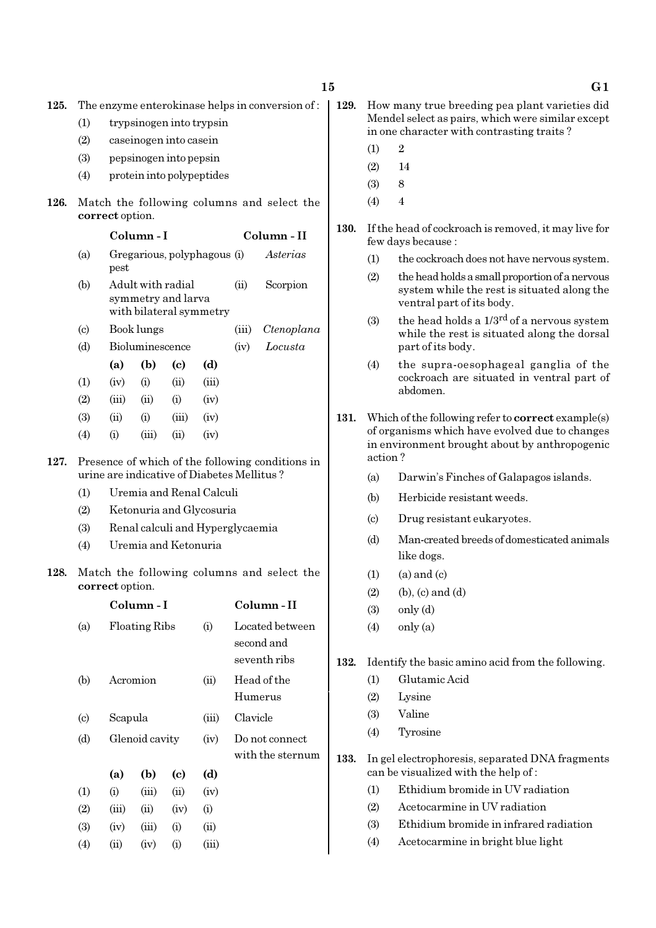125. The enzyme enterokinase helps in conversion of :

- (1) trypsinogen into trypsin
- (2) caseinogen into casein
- (3) pepsinogen into pepsin
- (4) protein into polypeptides
- 126. Match the following columns and select the correct option.

| Column - I |  | Column - II |
|------------|--|-------------|
|            |  |             |

- (a) Gregarious, polyphagous (i) Asterias pest
- (b) Adult with radial (ii) Scorpion symmetry and larva with bilateral symmetry
- (c) Book lungs (iii) Ctenoplana
- (d) Bioluminescence (iv) Locusta
- (a) (b) (c) (d)  $(1)$   $(iv)$   $(i)$   $(ii)$   $(iii)$
- $(2)$   $(iii)$   $(ii)$   $(i)$   $(iv)$
- (3) (ii) (i) (iii) (iv)
- (4) (i) (iii) (ii) (iv)
- 127. Presence of which of the following conditions in urine are indicative of Diabetes Mellitus ?
	- (1) Uremia and Renal Calculi
	- (2) Ketonuria and Glycosuria
	- (3) Renal calculi and Hyperglycaemia
	- (4) Uremia and Ketonuria
- 128. Match the following columns and select the correct option.

|                             |       | Column - I           |                            |       | Column - II                                   |
|-----------------------------|-------|----------------------|----------------------------|-------|-----------------------------------------------|
| (a)                         |       | <b>Floating Ribs</b> |                            | (i)   | Located between<br>second and<br>seventh ribs |
| (b)                         |       | Acromion             |                            | (ii)  | Head of the<br>Humerus                        |
| $\left( \mathrm{c} \right)$ |       | Scapula              |                            |       | Clavicle                                      |
| (d)                         |       | Glenoid cavity       |                            | (iv)  | Do not connect<br>with the sternum            |
|                             | (a)   | (b)                  | $\left( \mathrm{e}\right)$ | (d)   |                                               |
| (1)                         | (i)   | (iii)                | (ii)                       | (iv)  |                                               |
| (2)                         | (iii) | (ii)                 | (iv)                       | (i)   |                                               |
| (3)                         | (iv)  | (iii)                | (i)                        | (ii)  |                                               |
| (4)                         | (ii)  | (iv)                 | (i)                        | (iii) |                                               |

- 129. How many true breeding pea plant varieties did Mendel select as pairs, which were similar except in one character with contrasting traits ?
	- $(1)$  2
	- $(2)$  14
	- (3) 8
	- $(4)$  4
- 130. If the head of cockroach is removed, it may live for few days because :
	- (1) the cockroach does not have nervous system.
	- (2) the head holds a small proportion of a nervous system while the rest is situated along the ventral part of its body.
	- (3) the head holds a  $1/3^{rd}$  of a nervous system while the rest is situated along the dorsal part of its body.
	- (4) the supra-oesophageal ganglia of the cockroach are situated in ventral part of abdomen.
- 131. Which of the following refer to **correct** example(s) of organisms which have evolved due to changes in environment brought about by anthropogenic action ?
	- (a) Darwin's Finches of Galapagos islands.
	- (b) Herbicide resistant weeds.
	- (c) Drug resistant eukaryotes.
	- (d) Man-created breeds of domesticated animals like dogs.
	- $(1)$   $(a)$  and  $(c)$
	- $(2)$  (b),  $(c)$  and  $(d)$
	- $(3)$  only  $(d)$
	- $(4)$  only  $(a)$
- 132. Identify the basic amino acid from the following.
	- (1) Glutamic Acid
	- (2) Lysine
	- (3) Valine
	- (4) Tyrosine
- 133. In gel electrophoresis, separated DNA fragments can be visualized with the help of :
	- (1) Ethidium bromide in UV radiation
	- (2) Acetocarmine in UV radiation
	- (3) Ethidium bromide in infrared radiation
	- (4) Acetocarmine in bright blue light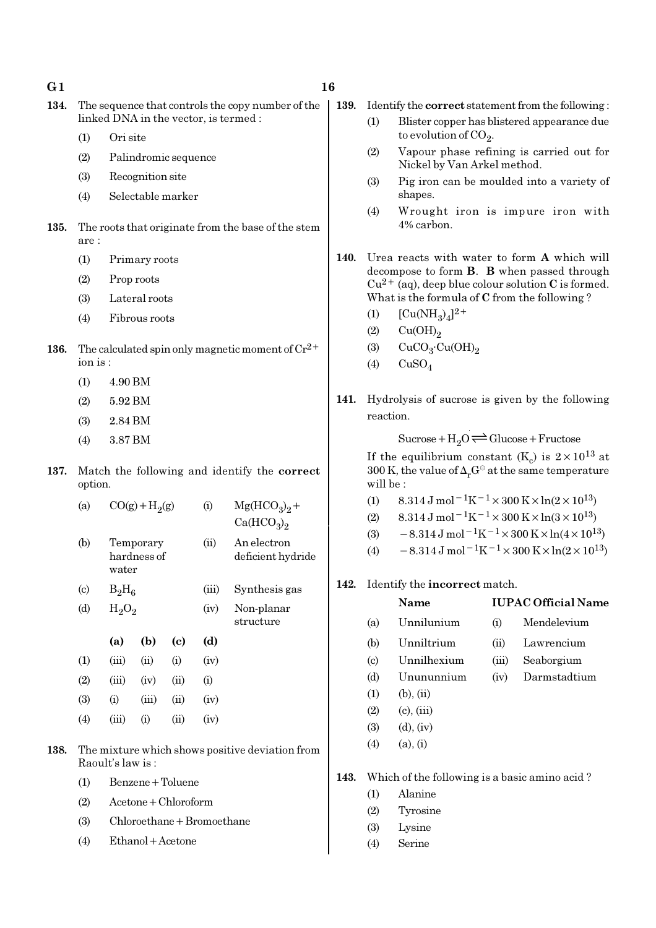- 134. The sequence that controls the copy number of the linked DNA in the vector, is termed :
	- (1) Ori site
	- (2) Palindromic sequence
	- (3) Recognition site
	- (4) Selectable marker
- 135. The roots that originate from the base of the stem are :
	- (1) Primary roots
	- (2) Prop roots
	- (3) Lateral roots
	- (4) Fibrous roots
- 136. The calculated spin only magnetic moment of  $\mathrm{Cr^{2+}}$ ion is :
	- (1) 4.90 BM
	- (2) 5.92 BM
	- (3) 2.84 BM
	- (4) 3.87 BM
- 137. Match the following and identify the correct option.

| (a)                       | $CO(g) + H2(g)$                   |       |      | (i)   | $Mg(HCO_3)_2 +$<br>Ca(HCO <sub>3</sub> ) <sub>2</sub> |
|---------------------------|-----------------------------------|-------|------|-------|-------------------------------------------------------|
| (b)                       | Temporary<br>hardness of<br>water |       |      | (ii)  | An electron<br>deficient hydride                      |
| $\left( \text{c} \right)$ | $B_2H_6$                          |       |      | (iii) | Synthesis gas                                         |
| (d)                       | $H_2O_2$                          |       |      | (iv)  | Non-planar<br>structure                               |
|                           | (a)                               | (b)   | (c)  | (d)   |                                                       |
| (1)                       | (iii)                             | (ii)  | (i)  | (iv)  |                                                       |
| (2)                       | (iii)                             | (iv)  | (ii) | (i)   |                                                       |
| (3)                       | (i)                               | (iii) | (ii) | (iv)  |                                                       |
| (4)                       | (iii)                             | (i)   | (ii) | (iv)  |                                                       |

- 138. The mixture which shows positive deviation from Raoult's law is :
	- (1) Benzene+Toluene
	- (2) Acetone+Chloroform
	- $(3)$  Chloroethane + Bromoethane
	- (4) Ethanol+Acetone
- 139. Identify the correct statement from the following :
	- (1) Blister copper has blistered appearance due to evolution of  $\mathrm{CO}_2$ .
	- (2) Vapour phase refining is carried out for Nickel by Van Arkel method.
	- (3) Pig iron can be moulded into a variety of shapes.
	- (4) Wrought iron is impure iron with 4% carbon.
- 140. Urea reacts with water to form A which will decompose to form B. B when passed through  $Cu^{2+}$  (aq), deep blue colour solution C is formed. What is the formula of C from the following ?
	- (1)  $[Cu(NH_3)_4]^{2+}$
	- $(2)$   $Cu(OH)<sub>2</sub>$
	- (3)  $CuCO<sub>3</sub>·Cu(OH)<sub>2</sub>$
	- $(4)$  CuSO<sub>4</sub>
- 141. Hydrolysis of sucrose is given by the following reaction.

 $Sucrose + H<sub>2</sub>O \rightleftharpoons Glucose + Fructose$ 

If the equilibrium constant (K<sub>c</sub>) is  $2 \times 10^{13}$  at 300 K, the value of  $\Delta_r G^\ominus$  at the same temperature will be :

- (1)  $8.314 \text{ J mol}^{-1}\text{K}^{-1} \times 300 \text{ K} \times \ln(2 \times 10^{13})$
- (2)  $8.314 \text{ J mol}^{-1}\text{K}^{-1} \times 300 \text{ K} \times \ln(3 \times 10^{13})$
- (3)  $-8.314 \,\mathrm{J} \,\mathrm{mol}^{-1} \mathrm{K}^{-1} \times 300 \,\mathrm{K} \times \ln(4 \times 10^{13})$
- (4)  $-8.314 \text{ J mol}^{-1} \text{K}^{-1} \times 300 \text{ K} \times \ln(2 \times 10^{13})$

#### 142. Identify the incorrect match.

|                            | Name            |       | <b>IUPAC Official Name</b> |  |  |  |
|----------------------------|-----------------|-------|----------------------------|--|--|--|
| (a)                        | Unnilunium      | (i)   | Mendelevium                |  |  |  |
| (b)                        | Unniltrium      | (ii)  | Lawrencium                 |  |  |  |
| $\left( \mathrm{c}\right)$ | Unnilhexium     | (iii) | Seaborgium                 |  |  |  |
| (d)                        | Unununnium      | (iv)  | Darmstadtium               |  |  |  |
| (1)                        | (b), (ii)       |       |                            |  |  |  |
| (2)                        | $(c)$ , $(iii)$ |       |                            |  |  |  |
| (3)                        | $(d)$ , $(iv)$  |       |                            |  |  |  |
| (4)                        | (a), (i)        |       |                            |  |  |  |

- 143. Which of the following is a basic amino acid ?
	- (1) Alanine
	- (2) Tyrosine
	- (3) Lysine
	- (4) Serine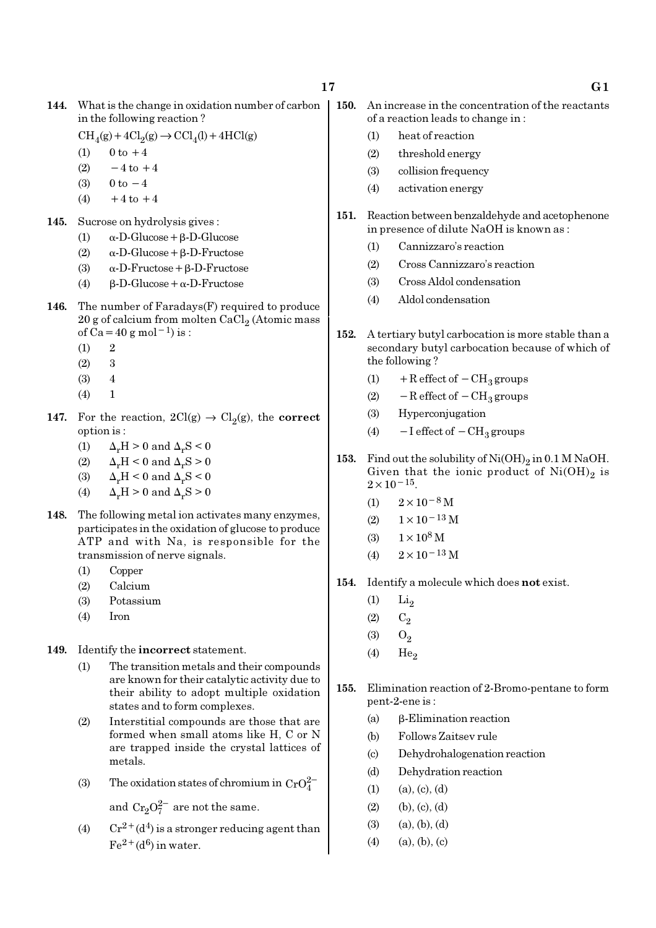- 144. What is the change in oxidation number of carbon in the following reaction ?
	- $\text{CH}_4(g) + 4\text{Cl}_2(g) \rightarrow \text{CCl}_4(l) + 4\text{HCl}(g)$
	- (1)  $0 \text{ to } +4$
	- (2)  $-4$  to  $+4$
	- (3)  $0 \text{ to } -4$
	- (4)  $+4$  to  $+4$
- 145. Sucrose on hydrolysis gives :
	- (1)  $\alpha$ -D-Glucose + β-D-Glucose
	- (2) α-D-Glucose+β-D-Fructose
	- (3) α-D-Fructose+β-D-Fructose
	- (4) β-D-Glucose+α-D-Fructose
- **146.** The number of Faradays $(F)$  required to produce  $20$  g of calcium from molten CaCl $_2$  (Atomic mass of Ca=40 g mol<sup>-1</sup>) is :
	- $(1)$  2
	- (2) 3
	- (3) 4
	- $(4) 1$
- 147. For the reaction,  $2Cl(g) \rightarrow Cl_2(g)$ , the correct option is :
	- (1)  $\Delta_r H > 0$  and  $\Delta_r S < 0$
	- (2)  $\Delta_r H < 0$  and  $\Delta_r S > 0$
	- (3)  $\Delta_r H < 0$  and  $\Delta_r S < 0$
	- (4)  $\Delta_r H > 0$  and  $\Delta_r S > 0$
- 148. The following metal ion activates many enzymes, participates in the oxidation of glucose to produce ATP and with Na, is responsible for the transmission of nerve signals.
	- (1) Copper
	- (2) Calcium
	- (3) Potassium
	- (4) Iron
- 149. Identify the incorrect statement.
	- (1) The transition metals and their compounds are known for their catalytic activity due to their ability to adopt multiple oxidation states and to form complexes.
	- (2) Interstitial compounds are those that are formed when small atoms like H, C or N are trapped inside the crystal lattices of metals.
	- (3) The oxidation states of chromium in  $CrO_4^{2-}$

and  $Cr_2O_7^{2-}$  are not the same.

(4)  $Cr^{2+}(d^4)$  is a stronger reducing agent than  $Fe<sup>2+</sup>(d<sup>6</sup>)$  in water.

- 150. An increase in the concentration of the reactants of a reaction leads to change in :
	- (1) heat of reaction
	- (2) threshold energy
	- (3) collision frequency
	- (4) activation energy
- 151. Reaction between benzaldehyde and acetophenone in presence of dilute NaOH is known as :
	- (1) Cannizzaro's reaction
	- (2) Cross Cannizzaro's reaction
	- (3) Cross Aldol condensation
	- (4) Aldol condensation
- 152. A tertiary butyl carbocation is more stable than a secondary butyl carbocation because of which of the following ?
	- (1) + R effect of  $-CH_3$  groups
	- (2)  $-$  R effect of  $-$  CH<sub>3</sub> groups
	- (3) Hyperconjugation
	- (4)  $-I$  effect of  $-CH_3$  groups
- 153. Find out the solubility of  $\mathrm{Ni(OH)}_{2}$  in 0.1 M NaOH. Given that the ionic product of  $\mathrm{Ni(OH)}_{2}$  is  $2 \times 10^{-15}$ .
	- (1)  $2 \times 10^{-8}$  M
	- $(2)$  1×10<sup>-13</sup> M
	- (3)  $1 \times 10^8$  M
	- (4)  $2 \times 10^{-13}$  M
- 154. Identify a molecule which does not exist.
	- $(1)$  Li<sub>2</sub>
	- $(2)$   $C_2$
	- $(3)$   $O_2$
	- $(4)$  He<sub>2</sub>
- 155. Elimination reaction of 2-Bromo-pentane to form pent-2-ene is :
	- (a) β-Elimination reaction
	- (b) Follows Zaitsev rule
	- (c) Dehydrohalogenation reaction
	- (d) Dehydration reaction
	- $(1)$   $(a), (c), (d)$
	- $(2)$  (b),  $(c)$ ,  $(d)$
	- $(3)$   $(a), (b), (d)$
	- $(4)$   $(a), (b), (c)$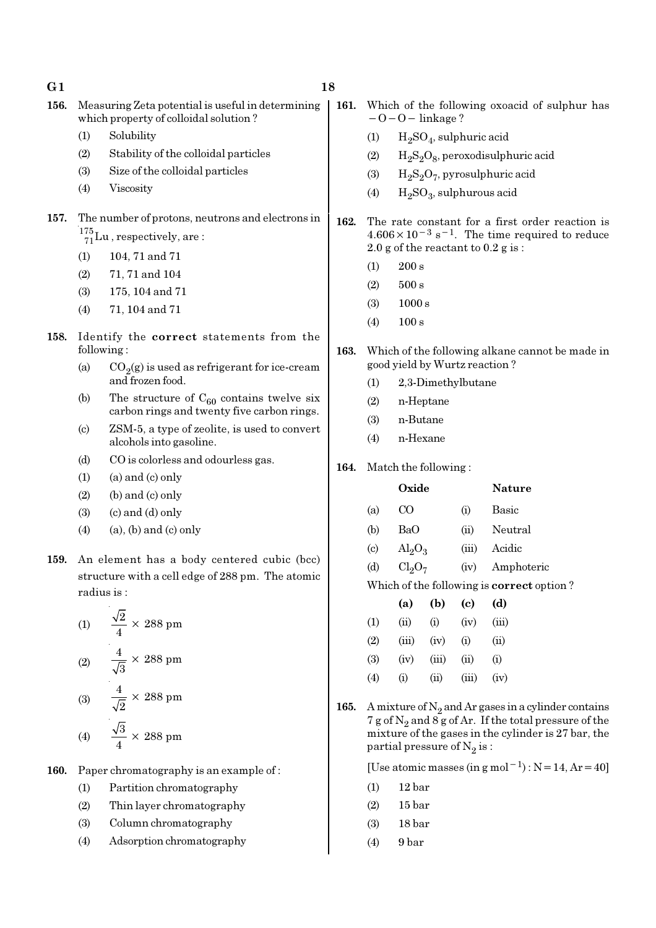| G1   |                        |                                                                                             | 18   |                           |                                            |       |
|------|------------------------|---------------------------------------------------------------------------------------------|------|---------------------------|--------------------------------------------|-------|
| 156. |                        | Measuring Zeta potential is useful in determining<br>which property of colloidal solution?  | 161. |                           | Which of the f<br>$-0-0$ – linka           |       |
|      | (1)                    | Solubility                                                                                  |      | (1)                       | $H_2SO_4$ , s                              |       |
|      | (2)                    | Stability of the colloidal particles                                                        |      | (2)                       | $H_2S_2O_8,$                               |       |
|      | (3)                    | Size of the colloidal particles                                                             |      | (3)                       | $H_2S_2O_7$                                |       |
|      | (4)                    | Viscosity                                                                                   |      | (4)                       | $H_2SO_3$ , s                              |       |
| 157. |                        | The number of protons, neutrons and electrons in                                            | 162. |                           | The rate const                             |       |
|      |                        | $\frac{175}{71}$ Lu, respectively, are:                                                     |      |                           | $4.606 \times 10^{-3}$ s                   |       |
|      | (1)                    | 104, 71 and 71                                                                              |      |                           | $2.0$ g of the read                        |       |
|      | (2)                    | 71, 71 and 104                                                                              |      | (1)                       | 200 s                                      |       |
|      | (3)                    | 175, 104 and 71                                                                             |      | (2)                       | 500 s                                      |       |
|      | (4)                    | 71, 104 and 71                                                                              |      | (3)                       | 1000 s                                     |       |
| 158. |                        | Identify the correct statements from the                                                    |      | (4)                       | 100 s                                      |       |
|      |                        | following:                                                                                  | 163. |                           | Which of the fol<br>good yield by W        |       |
|      | (a)                    | $CO2(g)$ is used as refrigerant for ice-cream<br>and frozen food.                           |      | (1)                       | $2,3$ -Dime                                |       |
|      | (b)                    | The structure of $C_{60}$ contains twelve six<br>carbon rings and twenty five carbon rings. |      | (2)                       | n-Heptan                                   |       |
|      | $\left( \circ \right)$ | ZSM-5, a type of zeolite, is used to convert<br>alcohols into gasoline.                     |      | (3)<br>(4)                | n-Butane<br>n-Hexane                       |       |
|      | (d)                    | CO is colorless and odourless gas.                                                          |      |                           |                                            |       |
|      | (1)                    | $(a)$ and $(c)$ only                                                                        | 164. |                           | Match the follow                           |       |
|      | (2)                    | (b) and (c) only                                                                            |      |                           | Oxide                                      |       |
|      | (3)                    | $(c)$ and $(d)$ only                                                                        |      | (a)                       | CO                                         |       |
|      | (4)                    | $(a)$ , $(b)$ and $(c)$ only                                                                |      | (b)                       | BaO                                        |       |
|      |                        |                                                                                             |      | $\left( \text{c} \right)$ | $\text{Al}_2\text{O}_3$                    |       |
| 159. |                        | An element has a body centered cubic (bcc)                                                  |      | (d)                       | Cl <sub>2</sub> O <sub>7</sub>             |       |
|      |                        | structure with a cell edge of 288 pm. The atomic                                            |      |                           | Which of the fol                           |       |
|      |                        | radius is:                                                                                  |      |                           | (a)                                        | (b)   |
|      |                        | (1) $\frac{\sqrt{2}}{4} \times 288 \text{ pm}$                                              |      | (1)                       | (ii)                                       | (i)   |
|      |                        |                                                                                             |      | (2)                       | (iii)                                      | (iv)  |
|      |                        | (2) $\frac{4}{\sqrt{3}} \times 288 \text{ pm}$                                              |      | (3)                       | (iv)                                       | (iii) |
|      |                        |                                                                                             |      | (4)                       | (i)                                        | (ii)  |
|      |                        | (3) $\frac{4}{\sqrt{2}} \times 288 \text{ pm}$                                              | 165. |                           | A mixture of $N_2$<br>7 g of $N_2$ and 8 g |       |
|      |                        | (4) $\frac{\sqrt{3}}{4} \times 288 \text{ pm}$                                              |      |                           | mixture of the g<br>partial pressure       |       |
| 160. |                        | Paper chromatography is an example of:                                                      |      |                           | [Use atomic ma                             |       |

- (1) Partition chromatography
	- (2) Thin layer chromatography
	- (3) Column chromatography
	- (4) Adsorption chromatography

following oxoacid of sulphur has age ?

- , sulphuric acid
- , peroxodisulphuric acid
- , pyrosulphuric acid
- , sulphurous acid
- tant for a first order reaction is  $-1$ . The time required to reduce ctant to  $0.2$  g is :
- llowing alkane cannot be made in  $y$ urtz reaction ?
	- thylbutane
	- (2) n-Heptane
	- (4) n-Hexane

 $wing:$ 

|                             | Oxide                          |       | <b>Nature</b> |
|-----------------------------|--------------------------------|-------|---------------|
| (a)                         | CO.                            | (i)   | Basic         |
| (b)                         | BaO                            | (ii)  | Neutral       |
| $\left( \mathrm{c} \right)$ | $\text{Al}_2\text{O}_3$        | (iii) | Acidic        |
| (d)                         | Cl <sub>2</sub> O <sub>7</sub> | (iv)  | Amphoteric    |
| TT 71                       | $\mathbf{a} \cdot \mathbf{r}$  |       |               |

llowing is **correct** option ?

|                  | (a)      | (b)   | (c)   | (d)    |
|------------------|----------|-------|-------|--------|
| $\left(1\right)$ | (ii)     | (i)   | (iv)  | (iii)  |
| (2)              | (iii)    | (iv)  | (i)   | $\sin$ |
| (3)              | (iv)     | (iii) | (ii)  | (i)    |
| (4)              | $\rm(i)$ | (ii)  | (iii) | (iv)   |
|                  |          |       |       |        |

 and Ar gases in a cylinder contains  $\frac{a}{g}$  of Ar. If the total pressure of the gases in the cylinder is 27 bar, the partial pressure of  $\mathrm{N}_2 \, \mathrm{is}$  :

[Use atomic masses (in g mol<sup>-1</sup>) : N=14, Ar=40]

- (1) 12 bar
- (2) 15 bar
- (3) 18 bar
- (4) 9 bar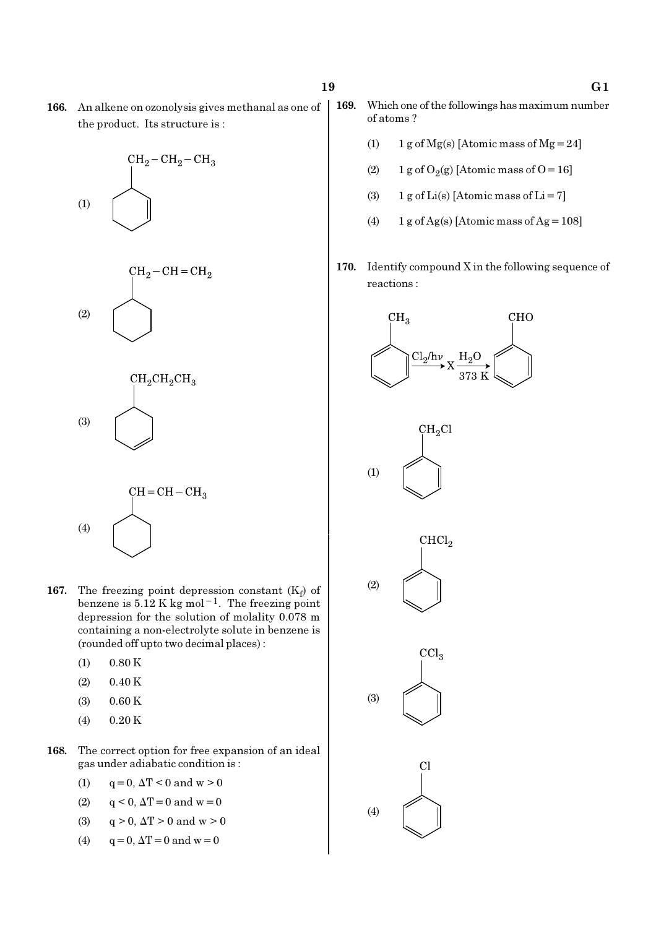166. An alkene on ozonolysis gives methanal as one of the product. Its structure is :







- **167.** The freezing point depression constant  $(K_f)$  of benzene is  $5.12$  K kg mol<sup>-1</sup>. The freezing point depression for the solution of molality 0.078 m containing a non-electrolyte solute in benzene is (rounded off upto two decimal places) :
	- $(1)$  0.80 K

(4)

- $(2)$  0.40 K
- (3) 0.60 K
- $(4)$  0.20 K
- 168. The correct option for free expansion of an ideal gas under adiabatic condition is :
	- (1)  $q = 0, \Delta T < 0$  and  $w > 0$
	- (2)  $q < 0$ ,  $\Delta T = 0$  and  $w = 0$
	- (3)  $q > 0$ ,  $\Delta T > 0$  and  $w > 0$
	- (4)  $q = 0, \Delta T = 0$  and  $w = 0$
- 169. Which one of the followings has maximum number of atoms ?
	- (1) 1 g of Mg(s) [Atomic mass of Mg = 24]
	- (2) 1 g of  $O_2(g)$  [Atomic mass of O = 16]
	- (3) 1 g of Li(s) [Atomic mass of Li = 7]
	- (4)  $1 g$  of Ag(s) [Atomic mass of Ag = 108]
- 170. Identify compound X in the following sequence of reactions :

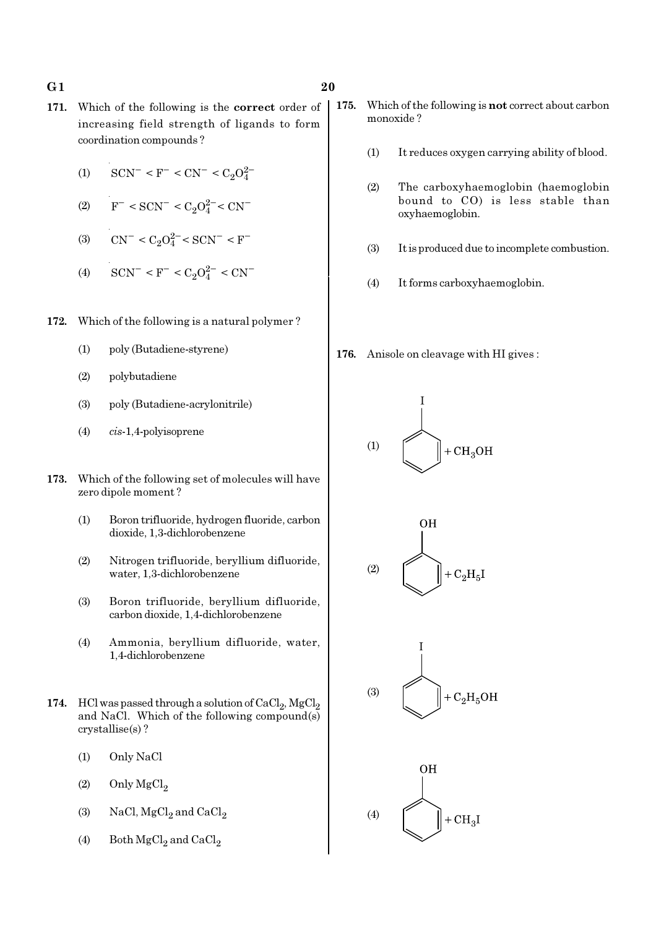#### G 1  $20$

- 171. Which of the following is the correct order of increasing field strength of ligands to form coordination compounds ?
	- (1)  $\text{SCN}^-$  < F<sup>-</sup> < CN<sup>-</sup> < C<sub>2</sub>O<sub>4</sub><sup>2</sup>
	- (2)  $F^- < \text{SCN}^- < C_2 O_4^{2-} < \text{CN}^-$
	- (3)  $CN^- < C_2O_4^{2-} < SCN^- < F^-$
	- (4)  $\text{SCN}^- \leq F^- \leq C_2 O_4^{2-} \leq \text{CN}^-$
- 172. Which of the following is a natural polymer ?
	- (1) poly (Butadiene-styrene)
	- (2) polybutadiene
	- (3) poly (Butadiene-acrylonitrile)
	- (4) cis-1,4-polyisoprene
- 173. Which of the following set of molecules will have zero dipole moment ?
	- (1) Boron trifluoride, hydrogen fluoride, carbon dioxide, 1,3-dichlorobenzene
	- (2) Nitrogen trifluoride, beryllium difluoride, water, 1,3-dichlorobenzene
	- (3) Boron trifluoride, beryllium difluoride, carbon dioxide, 1,4-dichlorobenzene
	- (4) Ammonia, beryllium difluoride, water, 1,4-dichlorobenzene
- 174. HCl was passed through a solution of  $\mathrm{CaCl}_{2}$ ,  $\mathrm{MgCl}_{2}$ and NaCl. Which of the following compound(s) crystallise(s) ?
	- (1) Only NaCl
	- $(2)$  Only MgCl<sub>2</sub>
	- (3) NaCl,  $MgCl<sub>2</sub>$  and  $CaCl<sub>2</sub>$
	- (4) Both  $\mathrm{MgCl}_2$  and  $\mathrm{CaCl}_2$
- 175. Which of the following is not correct about carbon monoxide ?
	- (1) It reduces oxygen carrying ability of blood.
	- (2) The carboxyhaemoglobin (haemoglobin bound to CO) is less stable than oxyhaemoglobin.
	- (3) It is produced due to incomplete combustion.
	- (4) It forms carboxyhaemoglobin.
- 176. Anisole on cleavage with HI gives :







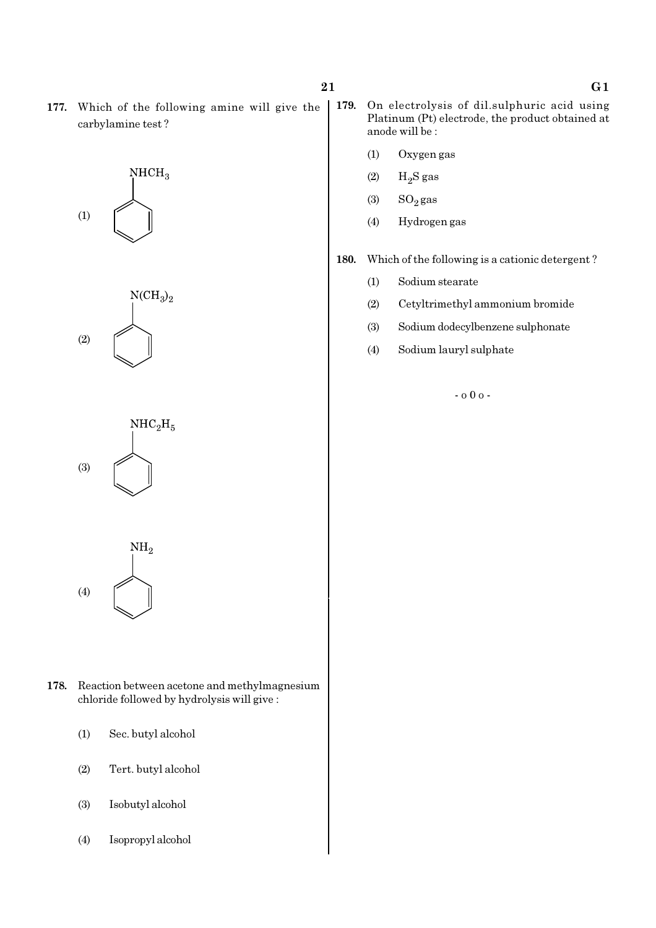177. Which of the following amine will give the carbylamine test ?









- 178. Reaction between acetone and methylmagnesium chloride followed by hydrolysis will give :
	- (1) Sec. butyl alcohol
	- (2) Tert. butyl alcohol
	- (3) Isobutyl alcohol
	- (4) Isopropyl alcohol
- 179. On electrolysis of dil.sulphuric acid using Platinum (Pt) electrode, the product obtained at anode will be :
	- (1) Oxygen gas
	- $(2)$  H<sub>2</sub>S gas
	- (3)  $SO_2$  gas
	- (4) Hydrogen gas

180. Which of the following is a cationic detergent ?

- (1) Sodium stearate
- (2) Cetyltrimethyl ammonium bromide
- (3) Sodium dodecylbenzene sulphonate
- (4) Sodium lauryl sulphate

- o 0 o -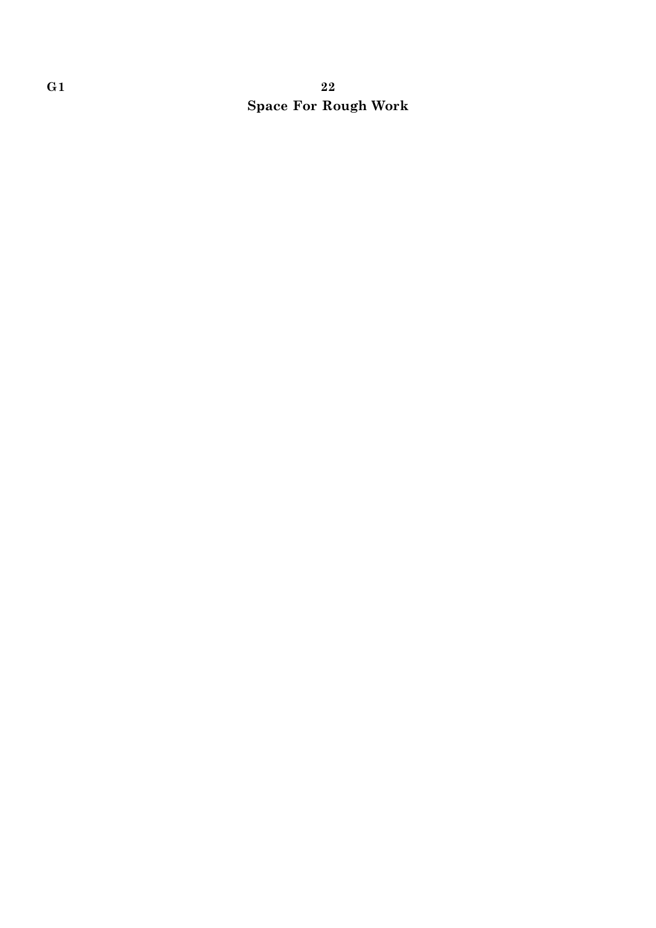### G 1  $22$ Space For Rough Work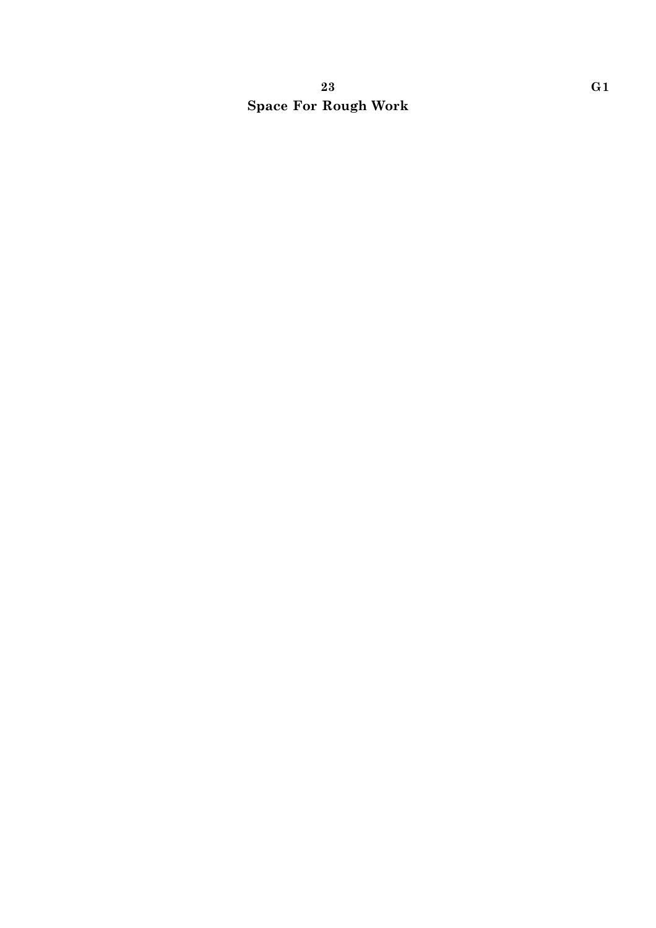### 23 G1 Space For Rough Work